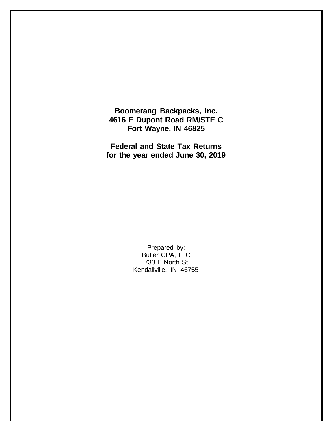**Boomerang Backpacks, Inc. 4616 E Dupont Road RM/STE C Fort Wayne, IN 46825**

**Federal and State Tax Returns for the year ended June 30, 2019**

> Prepared by: Butler CPA, LLC 733 E North St Kendallville, IN 46755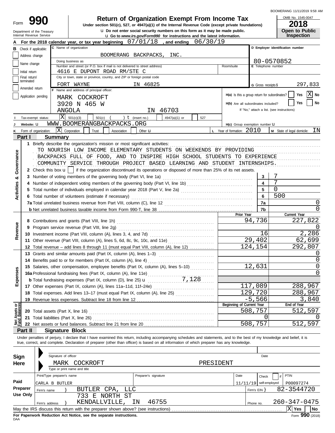|  | BOOMERANG 11/11/2019 9:58 AM |  |  |  |
|--|------------------------------|--|--|--|
|--|------------------------------|--|--|--|

| Form 990                   | Return of Organization Exempt From Income Tax<br>Under section 501(c), 527, or 4947(a)(1) of the Internal Revenue Code (except private foundations) | OMB No. 1545-0047<br>2018 |
|----------------------------|-----------------------------------------------------------------------------------------------------------------------------------------------------|---------------------------|
| Department of the Treasury | La Do not enter social security numbers on this form as it may be made public.                                                                      | <b>Open to Public</b>     |
| Internal Revenue Service   | La Go to www.irs.gov/Form990 for instructions and the latest information.                                                                           | <b>Inspection</b>         |
|                            | A For the 2018 calendar year, or tax year beginning $07/01/18$ , and ending $06/30/19$                                                              |                           |
|                            |                                                                                                                                                     |                           |

|                                                                                                         |                 | For the 2018 calendar year, or tax year beginning $07/01/18$ , and ending $06/30/19$                                                                                                                                                                                                                                     |                                                                                       |                                               |                                                  |                                            |  |  |
|---------------------------------------------------------------------------------------------------------|-----------------|--------------------------------------------------------------------------------------------------------------------------------------------------------------------------------------------------------------------------------------------------------------------------------------------------------------------------|---------------------------------------------------------------------------------------|-----------------------------------------------|--------------------------------------------------|--------------------------------------------|--|--|
| C Name of organization<br>D Employer identification number<br>Check if applicable:                      |                 |                                                                                                                                                                                                                                                                                                                          |                                                                                       |                                               |                                                  |                                            |  |  |
|                                                                                                         |                 | BOOMERANG BACKPACKS,<br>INC.<br>Address change                                                                                                                                                                                                                                                                           |                                                                                       |                                               |                                                  |                                            |  |  |
|                                                                                                         | Name change     | Doing business as                                                                                                                                                                                                                                                                                                        |                                                                                       | 80-0570852                                    |                                                  |                                            |  |  |
|                                                                                                         |                 | Number and street (or P.O. box if mail is not delivered to street address)                                                                                                                                                                                                                                               | Room/suite                                                                            | E Telephone number                            |                                                  |                                            |  |  |
|                                                                                                         | Initial return  | 4616 E DUPONT ROAD RM/STE C                                                                                                                                                                                                                                                                                              |                                                                                       |                                               |                                                  |                                            |  |  |
| City or town, state or province, country, and ZIP or foreign postal code<br>Final return/<br>terminated |                 |                                                                                                                                                                                                                                                                                                                          |                                                                                       |                                               |                                                  |                                            |  |  |
|                                                                                                         |                 | FORT WAYNE<br>IN 46825<br>Amended return                                                                                                                                                                                                                                                                                 |                                                                                       | G Gross receipts \$                           | 297,833                                          |                                            |  |  |
|                                                                                                         |                 | F Name and address of principal officer:                                                                                                                                                                                                                                                                                 |                                                                                       | H(a) Is this a group return for subordinates? |                                                  | $ X $ No<br>Yes                            |  |  |
|                                                                                                         |                 | Application pending<br>MARK COCKROFT                                                                                                                                                                                                                                                                                     |                                                                                       |                                               |                                                  |                                            |  |  |
|                                                                                                         |                 | 3920 N 465 W                                                                                                                                                                                                                                                                                                             |                                                                                       |                                               | No<br>Yes<br>H(b) Are all subordinates included? |                                            |  |  |
|                                                                                                         |                 | 46703<br><b>ANGOLA</b><br>ΙN                                                                                                                                                                                                                                                                                             |                                                                                       |                                               |                                                  | If "No," attach a list. (see instructions) |  |  |
|                                                                                                         |                 | $ X $ 501(c)(3)<br>501(c)<br>) $t$ (insert no.)<br>4947(a)(1) or<br>Tax-exempt status:                                                                                                                                                                                                                                   | 527                                                                                   |                                               |                                                  |                                            |  |  |
|                                                                                                         | Website: U      | WWW.BOOMERANGBACKPACKS.ORG                                                                                                                                                                                                                                                                                               |                                                                                       | H(c) Group exemption number <b>U</b>          |                                                  |                                            |  |  |
|                                                                                                         |                 | $ \mathbf{X} $ Corporation<br>Form of organization:<br>Trust<br>Association<br>Other $\mathbf u$                                                                                                                                                                                                                         |                                                                                       | <b>L</b> Year of formation: $2010$            |                                                  | M State of legal domicile: IN              |  |  |
|                                                                                                         | Part I          | <b>Summary</b>                                                                                                                                                                                                                                                                                                           |                                                                                       |                                               |                                                  |                                            |  |  |
|                                                                                                         |                 | 1 Briefly describe the organization's mission or most significant activities:                                                                                                                                                                                                                                            |                                                                                       |                                               |                                                  |                                            |  |  |
|                                                                                                         |                 | TO NOURISH LOW INCOME ELEMENTARY STUDENTS ON WEEKENDS BY PROVIDING                                                                                                                                                                                                                                                       |                                                                                       |                                               |                                                  |                                            |  |  |
|                                                                                                         |                 | BACKPACKS FULL OF FOOD, AND TO INSPIRE HIGH SCHOOL STUDENTS TO EXPERIENCE                                                                                                                                                                                                                                                |                                                                                       |                                               |                                                  |                                            |  |  |
|                                                                                                         |                 | COMMUNITY SERVICE THROUGH PROJECT BASED LEARNING AND STUDENT INTERNSHIPS.                                                                                                                                                                                                                                                |                                                                                       |                                               |                                                  |                                            |  |  |
| Governance                                                                                              |                 | 2 Check this box $\mathbf{u}$   if the organization discontinued its operations or disposed of more than 25% of its net assets.                                                                                                                                                                                          |                                                                                       |                                               |                                                  |                                            |  |  |
|                                                                                                         |                 |                                                                                                                                                                                                                                                                                                                          |                                                                                       |                                               |                                                  |                                            |  |  |
| య                                                                                                       |                 | 3 Number of voting members of the governing body (Part VI, line 1a)                                                                                                                                                                                                                                                      |                                                                                       |                                               | 3                                                | 7<br>7                                     |  |  |
|                                                                                                         |                 |                                                                                                                                                                                                                                                                                                                          |                                                                                       |                                               |                                                  |                                            |  |  |
| <b>Activities</b>                                                                                       |                 | 5 Total number of individuals employed in calendar year 2018 (Part V, line 2a) [[[[[[[[[[[[[[[[[[[[[[[[[[[[[[[                                                                                                                                                                                                           |                                                                                       |                                               | 5                                                | 0                                          |  |  |
|                                                                                                         |                 | 6 Total number of volunteers (estimate if necessary)                                                                                                                                                                                                                                                                     |                                                                                       |                                               | 6                                                | 500                                        |  |  |
|                                                                                                         |                 |                                                                                                                                                                                                                                                                                                                          |                                                                                       |                                               | 7a                                               | 0                                          |  |  |
|                                                                                                         |                 |                                                                                                                                                                                                                                                                                                                          | Prior Year                                                                            | 7b                                            | 0                                                |                                            |  |  |
|                                                                                                         |                 |                                                                                                                                                                                                                                                                                                                          |                                                                                       |                                               | 94,736                                           | Current Year<br>227,822                    |  |  |
|                                                                                                         |                 |                                                                                                                                                                                                                                                                                                                          |                                                                                       |                                               |                                                  |                                            |  |  |
| Revenue                                                                                                 | 9               | Program service revenue (Part VIII, line 2g)                                                                                                                                                                                                                                                                             |                                                                                       |                                               |                                                  |                                            |  |  |
|                                                                                                         |                 |                                                                                                                                                                                                                                                                                                                          |                                                                                       |                                               | 16                                               | 2,286                                      |  |  |
|                                                                                                         |                 | 11 Other revenue (Part VIII, column (A), lines 5, 6d, 8c, 9c, 10c, and 11e)                                                                                                                                                                                                                                              |                                                                                       |                                               | 29,402<br>124,154                                | 62,699<br>292,807                          |  |  |
|                                                                                                         |                 |                                                                                                                                                                                                                                                                                                                          | 12 Total revenue - add lines 8 through 11 (must equal Part VIII, column (A), line 12) |                                               |                                                  |                                            |  |  |
|                                                                                                         |                 |                                                                                                                                                                                                                                                                                                                          |                                                                                       |                                               |                                                  |                                            |  |  |
|                                                                                                         |                 |                                                                                                                                                                                                                                                                                                                          |                                                                                       |                                               |                                                  | 0                                          |  |  |
|                                                                                                         |                 | 15 Salaries, other compensation, employee benefits (Part IX, column (A), lines 5-10)                                                                                                                                                                                                                                     |                                                                                       |                                               | 12,631                                           | 0                                          |  |  |
| Expenses                                                                                                |                 |                                                                                                                                                                                                                                                                                                                          |                                                                                       |                                               |                                                  | 0                                          |  |  |
|                                                                                                         |                 | <b>b</b> Total fundraising expenses (Part IX, column (D), line 25) $\mathbf{u}$                                                                                                                                                                                                                                          | 7,128                                                                                 |                                               |                                                  |                                            |  |  |
|                                                                                                         |                 | 17 Other expenses (Part IX, column (A), lines 11a–11d, 11f–24e)                                                                                                                                                                                                                                                          |                                                                                       |                                               | 117,089                                          | 288,967                                    |  |  |
|                                                                                                         |                 | 18 Total expenses. Add lines 13-17 (must equal Part IX, column (A), line 25)                                                                                                                                                                                                                                             |                                                                                       |                                               | 129,720                                          | 288,967                                    |  |  |
|                                                                                                         |                 | 19 Revenue less expenses. Subtract line 18 from line 12                                                                                                                                                                                                                                                                  |                                                                                       |                                               | $-5,566$                                         | 3,840                                      |  |  |
|                                                                                                         |                 |                                                                                                                                                                                                                                                                                                                          |                                                                                       | Beginning of Current Year                     | 508,757                                          | End of Year<br>512,597                     |  |  |
|                                                                                                         |                 |                                                                                                                                                                                                                                                                                                                          |                                                                                       |                                               | 0                                                |                                            |  |  |
| Net Assets or<br>Fund Balances                                                                          |                 | 21 Total liabilities (Part X, line 26) [11] The matter contract the state of the contract of the contract of the contract of the contract of the contract of the contract of the contract of the contract of the contract of t                                                                                           |                                                                                       |                                               | 508,757                                          | 0<br>512,597                               |  |  |
|                                                                                                         |                 | 22 Net assets or fund balances. Subtract line 21 from line 20                                                                                                                                                                                                                                                            |                                                                                       |                                               |                                                  |                                            |  |  |
|                                                                                                         | Part II         | <b>Signature Block</b>                                                                                                                                                                                                                                                                                                   |                                                                                       |                                               |                                                  |                                            |  |  |
|                                                                                                         |                 | Under penalties of perjury, I declare that I have examined this return, including accompanying schedules and statements, and to the best of my knowledge and belief, it is<br>true, correct, and complete. Declaration of preparer (other than officer) is based on all information of which preparer has any knowledge. |                                                                                       |                                               |                                                  |                                            |  |  |
|                                                                                                         |                 |                                                                                                                                                                                                                                                                                                                          |                                                                                       |                                               |                                                  |                                            |  |  |
|                                                                                                         |                 | Signature of officer                                                                                                                                                                                                                                                                                                     |                                                                                       |                                               | Date                                             |                                            |  |  |
| Sign                                                                                                    |                 |                                                                                                                                                                                                                                                                                                                          |                                                                                       |                                               |                                                  |                                            |  |  |
| Here                                                                                                    |                 | COCKROFT<br>MARK                                                                                                                                                                                                                                                                                                         | PRESIDENT                                                                             |                                               |                                                  |                                            |  |  |
|                                                                                                         |                 | Type or print name and title                                                                                                                                                                                                                                                                                             |                                                                                       |                                               |                                                  |                                            |  |  |
|                                                                                                         |                 | Print/Type preparer's name<br>Preparer's signature                                                                                                                                                                                                                                                                       |                                                                                       | Date                                          | Check                                            | PTIN                                       |  |  |
| Paid                                                                                                    |                 | CARLA B BUTLER                                                                                                                                                                                                                                                                                                           |                                                                                       |                                               | $11/11/19$ self-employed                         | P00097274                                  |  |  |
|                                                                                                         | Preparer        | CPA,<br>LLC<br>BUTLER<br>Firm's name                                                                                                                                                                                                                                                                                     |                                                                                       |                                               | Firm's $EIN$ }                                   | 82-3544720                                 |  |  |
|                                                                                                         | <b>Use Only</b> | 733 E NORTH<br>ST                                                                                                                                                                                                                                                                                                        |                                                                                       |                                               |                                                  |                                            |  |  |
|                                                                                                         |                 | KENDALLVILLE,<br>46755<br>ΙN<br>Firm's address                                                                                                                                                                                                                                                                           |                                                                                       |                                               | Phone no.                                        | 260-347-0475                               |  |  |
|                                                                                                         |                 |                                                                                                                                                                                                                                                                                                                          |                                                                                       |                                               |                                                  | $X$ Yes<br>No                              |  |  |

| Sign                                                        |                                                                                                    | Signature of officer |          |     |           |      |              | Date                     |            |           |  |
|-------------------------------------------------------------|----------------------------------------------------------------------------------------------------|----------------------|----------|-----|-----------|------|--------------|--------------------------|------------|-----------|--|
| Here                                                        |                                                                                                    | MARK                 | COCKROFT |     | PRESIDENT |      |              |                          |            |           |  |
|                                                             | Type or print name and title<br>Preparer's signature<br>Print/Type preparer's name                 |                      |          |     |           | Date |              | Check                    | PTIN       |           |  |
| Paid                                                        | CARLA B BUTLER                                                                                     |                      |          |     |           |      |              | $11/11/19$ self-employed |            | P00097274 |  |
| Preparer<br>BUTLER CPA,<br>Firm's name                      |                                                                                                    |                      |          | LLC |           |      | Firm's $EIN$ |                          | 82-3544720 |           |  |
|                                                             | Use Only<br>NORTH ST<br>733.<br>E.                                                                 |                      |          |     |           |      |              |                          |            |           |  |
| 46755<br>KENDALLVILLE,<br>IN<br>Firm's address<br>Phone no. |                                                                                                    |                      |          |     |           |      | 260-347-0475 |                          |            |           |  |
|                                                             | X Yes<br>May the IRS discuss this return with the preparer shown above? (see instructions)<br>  No |                      |          |     |           |      |              |                          |            |           |  |
|                                                             | Form $990(2018)$<br>For Paperwork Reduction Act Notice, see the separate instructions.             |                      |          |     |           |      |              |                          |            |           |  |

Form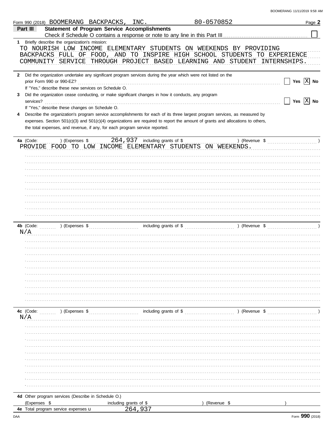|                  | Form 990 (2018) BOOMERANG BACKPACKS, INC.                                                                                                                                                                                                                                                                                                                                                      |                        | 80-0570852  |                    | Page 2          |
|------------------|------------------------------------------------------------------------------------------------------------------------------------------------------------------------------------------------------------------------------------------------------------------------------------------------------------------------------------------------------------------------------------------------|------------------------|-------------|--------------------|-----------------|
| Part III         | <b>Statement of Program Service Accomplishments</b>                                                                                                                                                                                                                                                                                                                                            |                        |             |                    |                 |
|                  | 1 Briefly describe the organization's mission:                                                                                                                                                                                                                                                                                                                                                 |                        |             |                    |                 |
|                  | TO NOURISH LOW INCOME ELEMENTARY STUDENTS ON WEEKENDS BY PROVIDING<br>BACKPACKS FULL OF FOOD, AND TO INSPIRE HIGH SCHOOL STUDENTS TO EXPERIENCE<br>COMMUNITY SERVICE THROUGH PROJECT BASED LEARNING AND STUDENT INTERNSHIPS.                                                                                                                                                                   |                        |             |                    |                 |
|                  | 2 Did the organization undertake any significant program services during the year which were not listed on the<br>prior Form 990 or 990-EZ?                                                                                                                                                                                                                                                    |                        |             |                    | $ X $ No<br>Yes |
| 3<br>services?   | If "Yes," describe these new services on Schedule O.<br>Did the organization cease conducting, or make significant changes in how it conducts, any program                                                                                                                                                                                                                                     |                        |             |                    | $ X $ No<br>Yes |
| 4                | If "Yes," describe these changes on Schedule O.<br>Describe the organization's program service accomplishments for each of its three largest program services, as measured by<br>expenses. Section 501(c)(3) and 501(c)(4) organizations are required to report the amount of grants and allocations to others,<br>the total expenses, and revenue, if any, for each program service reported. |                        |             |                    |                 |
|                  | PROVIDE FOOD TO LOW INCOME ELEMENTARY STUDENTS ON WEEKENDS.                                                                                                                                                                                                                                                                                                                                    |                        |             | $($ Revenue \$ $)$ |                 |
|                  |                                                                                                                                                                                                                                                                                                                                                                                                |                        |             |                    |                 |
|                  |                                                                                                                                                                                                                                                                                                                                                                                                |                        |             |                    |                 |
|                  |                                                                                                                                                                                                                                                                                                                                                                                                |                        |             |                    |                 |
|                  |                                                                                                                                                                                                                                                                                                                                                                                                |                        |             |                    |                 |
| N/A              |                                                                                                                                                                                                                                                                                                                                                                                                |                        |             |                    |                 |
|                  |                                                                                                                                                                                                                                                                                                                                                                                                |                        |             |                    |                 |
|                  |                                                                                                                                                                                                                                                                                                                                                                                                |                        |             |                    |                 |
|                  |                                                                                                                                                                                                                                                                                                                                                                                                |                        |             |                    |                 |
|                  |                                                                                                                                                                                                                                                                                                                                                                                                |                        |             |                    |                 |
| 4c (Code:<br>N/A | ) (Expenses \$                                                                                                                                                                                                                                                                                                                                                                                 | including grants of \$ |             | ) (Revenue \$      |                 |
|                  |                                                                                                                                                                                                                                                                                                                                                                                                |                        |             |                    |                 |
|                  |                                                                                                                                                                                                                                                                                                                                                                                                |                        |             |                    |                 |
|                  |                                                                                                                                                                                                                                                                                                                                                                                                |                        |             |                    |                 |
|                  |                                                                                                                                                                                                                                                                                                                                                                                                |                        |             |                    |                 |
| (Expenses \$     | 4d Other program services (Describe in Schedule O.)                                                                                                                                                                                                                                                                                                                                            | including grants of \$ | (Revenue \$ |                    |                 |
|                  | 4e Total program service expenses u                                                                                                                                                                                                                                                                                                                                                            | 264.937                |             |                    |                 |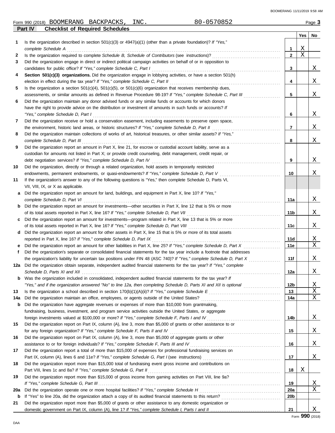| $\sim$<br>INC.<br>______<br><b>BOOMERANG</b><br>Form 990<br>(2018)<br>BACKPACKS | $\mathbf{a} \mathbf{a} = \mathbf{a}$<br>י י<br>Page<br>. –<br>OU<br>∪⊖⊃∠ |
|---------------------------------------------------------------------------------|--------------------------------------------------------------------------|
|---------------------------------------------------------------------------------|--------------------------------------------------------------------------|

**Part IV Checklist of Required Schedules**

|          |                                                                                                                                                                                                          |                        | Yes    | No           |
|----------|----------------------------------------------------------------------------------------------------------------------------------------------------------------------------------------------------------|------------------------|--------|--------------|
| 1        | Is the organization described in section $501(c)(3)$ or $4947(a)(1)$ (other than a private foundation)? If "Yes,"                                                                                        |                        |        |              |
|          | complete Schedule A<br>Is the organization required to complete Schedule B, Schedule of Contributors (see instructions)?                                                                                 | 1<br>$\mathbf{2}$      | Χ<br>Χ |              |
| 2<br>3   | Did the organization engage in direct or indirect political campaign activities on behalf of or in opposition to                                                                                         |                        |        |              |
|          | candidates for public office? If "Yes," complete Schedule C, Part I                                                                                                                                      | 3                      |        | X            |
| 4        | Section 501(c)(3) organizations. Did the organization engage in lobbying activities, or have a section 501(h)                                                                                            |                        |        |              |
|          | election in effect during the tax year? If "Yes," complete Schedule C, Part II                                                                                                                           | 4                      |        | X            |
| 5        | Is the organization a section $501(c)(4)$ , $501(c)(5)$ , or $501(c)(6)$ organization that receives membership dues,                                                                                     |                        |        |              |
|          | assessments, or similar amounts as defined in Revenue Procedure 98-19? If "Yes," complete Schedule C, Part III                                                                                           | 5                      |        | X            |
| 6        | Did the organization maintain any donor advised funds or any similar funds or accounts for which donors                                                                                                  |                        |        |              |
|          | have the right to provide advice on the distribution or investment of amounts in such funds or accounts? If                                                                                              |                        |        |              |
|          | "Yes," complete Schedule D, Part I                                                                                                                                                                       | 6                      |        | X            |
| 7        | Did the organization receive or hold a conservation easement, including easements to preserve open space,                                                                                                |                        |        |              |
|          | the environment, historic land areas, or historic structures? If "Yes," complete Schedule D, Part II                                                                                                     | 7                      |        | X            |
| 8        | Did the organization maintain collections of works of art, historical treasures, or other similar assets? If "Yes,"                                                                                      |                        |        |              |
|          | complete Schedule D, Part III                                                                                                                                                                            | 8                      |        | X            |
| 9        | Did the organization report an amount in Part X, line 21, for escrow or custodial account liability, serve as a                                                                                          |                        |        |              |
|          | custodian for amounts not listed in Part X; or provide credit counseling, debt management, credit repair, or                                                                                             |                        |        |              |
|          | debt negotiation services? If "Yes," complete Schedule D, Part IV                                                                                                                                        | 9                      |        | X            |
| 10       | Did the organization, directly or through a related organization, hold assets in temporarily restricted                                                                                                  |                        |        |              |
|          | endowments, permanent endowments, or quasi-endowments? If "Yes," complete Schedule D, Part V                                                                                                             | 10                     |        | Χ            |
| 11       | If the organization's answer to any of the following questions is "Yes," then complete Schedule D, Parts VI,                                                                                             |                        |        |              |
|          | VII, VIII, IX, or X as applicable.                                                                                                                                                                       |                        |        |              |
| а        | Did the organization report an amount for land, buildings, and equipment in Part X, line 10? If "Yes,"                                                                                                   |                        |        |              |
|          | complete Schedule D, Part VI                                                                                                                                                                             | 11a                    |        | X            |
| b        | Did the organization report an amount for investments—other securities in Part X, line 12 that is 5% or more                                                                                             |                        |        |              |
|          | of its total assets reported in Part X, line 16? If "Yes," complete Schedule D, Part VII                                                                                                                 | 11b                    |        | X            |
| c        | Did the organization report an amount for investments—program related in Part X, line 13 that is 5% or more<br>of its total assets reported in Part X, line 16? If "Yes," complete Schedule D, Part VIII | 11c                    |        | X            |
| d        | Did the organization report an amount for other assets in Part X, line 15 that is 5% or more of its total assets                                                                                         |                        |        |              |
|          | reported in Part X, line 16? If "Yes," complete Schedule D, Part IX                                                                                                                                      | 11d                    |        | Χ            |
| е        | Did the organization report an amount for other liabilities in Part X, line 25? If "Yes," complete Schedule D, Part X                                                                                    | 11e                    |        | X            |
| f        | Did the organization's separate or consolidated financial statements for the tax year include a footnote that addresses                                                                                  |                        |        |              |
|          | the organization's liability for uncertain tax positions under FIN 48 (ASC 740)? If "Yes," complete Schedule D, Part X                                                                                   | 11f                    |        | X            |
|          | 12a Did the organization obtain separate, independent audited financial statements for the tax year? If "Yes," complete                                                                                  |                        |        |              |
|          |                                                                                                                                                                                                          | 12a                    |        | Χ            |
|          | Was the organization included in consolidated, independent audited financial statements for the tax year? If                                                                                             |                        |        |              |
|          | "Yes," and if the organization answered "No" to line 12a, then completing Schedule D, Parts XI and XII is optional                                                                                       | 12b                    |        | $\mathbf{X}$ |
| 13       |                                                                                                                                                                                                          | 13                     |        | Χ            |
| 14a      |                                                                                                                                                                                                          | 14a                    |        | X            |
| b        | Did the organization have aggregate revenues or expenses of more than \$10,000 from grantmaking,                                                                                                         |                        |        |              |
|          | fundraising, business, investment, and program service activities outside the United States, or aggregate                                                                                                |                        |        |              |
|          | foreign investments valued at \$100,000 or more? If "Yes," complete Schedule F, Parts I and IV.                                                                                                          | 14b                    |        | X            |
| 15       | Did the organization report on Part IX, column (A), line 3, more than \$5,000 of grants or other assistance to or                                                                                        |                        |        |              |
|          |                                                                                                                                                                                                          | 15                     |        | X            |
| 16       | Did the organization report on Part IX, column (A), line 3, more than \$5,000 of aggregate grants or other                                                                                               |                        |        |              |
|          | assistance to or for foreign individuals? If "Yes," complete Schedule F, Parts III and IV [[[[[[[[[[[[[[[[[[[                                                                                            | 16                     |        | X            |
| 17       | Did the organization report a total of more than \$15,000 of expenses for professional fundraising services on                                                                                           |                        |        |              |
|          |                                                                                                                                                                                                          | 17                     |        | X            |
| 18       | Did the organization report more than \$15,000 total of fundraising event gross income and contributions on                                                                                              |                        |        |              |
|          | Part VIII, lines 1c and 8a? If "Yes," complete Schedule G, Part II                                                                                                                                       | 18                     | X      |              |
| 19       | Did the organization report more than \$15,000 of gross income from gaming activities on Part VIII, line 9a?                                                                                             |                        |        |              |
|          |                                                                                                                                                                                                          | 19                     |        | X<br>X       |
| 20a<br>b |                                                                                                                                                                                                          | 20a<br>20 <sub>b</sub> |        |              |
| 21       | Did the organization report more than \$5,000 of grants or other assistance to any domestic organization or                                                                                              |                        |        |              |
|          |                                                                                                                                                                                                          |                        |        |              |

domestic government on Part IX, column (A), line 1? *If "Yes," complete Schedule I, Parts I and II* . . . . . . . . . . . . . . . . . . . . . . . . . . . . . . . . . . . . . . **21** X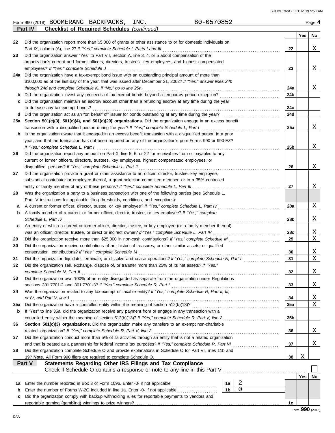|     | 80-0570852<br>Form 990 (2018) BOOMERANG BACKPACKS,<br>INC.                                                                                            |                 |     | Page 4 |
|-----|-------------------------------------------------------------------------------------------------------------------------------------------------------|-----------------|-----|--------|
|     | Part IV<br><b>Checklist of Required Schedules (continued)</b>                                                                                         |                 |     |        |
|     |                                                                                                                                                       |                 | Yes | No     |
| 22  | Did the organization report more than \$5,000 of grants or other assistance to or for domestic individuals on                                         |                 |     |        |
|     | Part IX, column (A), line 2? If "Yes," complete Schedule I, Parts I and III                                                                           | 22              |     | Χ      |
| 23  | Did the organization answer "Yes" to Part VII, Section A, line 3, 4, or 5 about compensation of the                                                   |                 |     |        |
|     | organization's current and former officers, directors, trustees, key employees, and highest compensated                                               |                 |     |        |
|     | employees? If "Yes," complete Schedule J                                                                                                              | 23              |     | Χ      |
| 24a | Did the organization have a tax-exempt bond issue with an outstanding principal amount of more than                                                   |                 |     |        |
|     | \$100,000 as of the last day of the year, that was issued after December 31, 2002? If "Yes," answer lines 24b                                         |                 |     |        |
|     | through 24d and complete Schedule K. If "No," go to line 25a                                                                                          | 24a             |     | Χ      |
| b   | Did the organization invest any proceeds of tax-exempt bonds beyond a temporary period exception?                                                     | 24b             |     |        |
|     | Did the organization maintain an escrow account other than a refunding escrow at any time during the year                                             |                 |     |        |
|     | to defease any tax-exempt bonds?                                                                                                                      | 24c             |     |        |
| d   | Did the organization act as an "on behalf of" issuer for bonds outstanding at any time during the year?                                               | 24d             |     |        |
| 25a | Section 501(c)(3), 501(c)(4), and 501(c)(29) organizations. Did the organization engage in an excess benefit                                          |                 |     |        |
|     | transaction with a disqualified person during the year? If "Yes," complete Schedule L, Part I                                                         | 25a             |     | Χ      |
| b   | Is the organization aware that it engaged in an excess benefit transaction with a disqualified person in a prior                                      |                 |     |        |
|     | year, and that the transaction has not been reported on any of the organization's prior Forms 990 or 990-EZ?<br>If "Yes," complete Schedule L, Part I | 25 <sub>b</sub> |     | Χ      |
| 26  | Did the organization report any amount on Part X, line 5, 6, or 22 for receivables from or payables to any                                            |                 |     |        |
|     | current or former officers, directors, trustees, key employees, highest compensated employees, or                                                     |                 |     |        |
|     | disqualified persons? If "Yes," complete Schedule L, Part II                                                                                          | 26              |     | Χ      |
| 27  | Did the organization provide a grant or other assistance to an officer, director, trustee, key employee,                                              |                 |     |        |
|     | substantial contributor or employee thereof, a grant selection committee member, or to a 35% controlled                                               |                 |     |        |
|     | entity or family member of any of these persons? If "Yes," complete Schedule L, Part III                                                              | 27              |     | Χ      |
| 28  | Was the organization a party to a business transaction with one of the following parties (see Schedule L,                                             |                 |     |        |
|     | Part IV instructions for applicable filing thresholds, conditions, and exceptions):                                                                   |                 |     |        |
| а   | A current or former officer, director, trustee, or key employee? If "Yes," complete Schedule L, Part IV                                               | 28a             |     | Χ      |
| b   | A family member of a current or former officer, director, trustee, or key employee? If "Yes," complete                                                |                 |     |        |
|     | Schedule L, Part IV                                                                                                                                   | 28b             |     | Χ      |
| c   | An entity of which a current or former officer, director, trustee, or key employee (or a family member thereof)                                       |                 |     |        |
|     | was an officer, director, trustee, or direct or indirect owner? If "Yes," complete Schedule L, Part IV                                                | 28c             |     | Χ      |
| 29  |                                                                                                                                                       | 29              |     | X      |
| 30  | Did the organization receive contributions of art, historical treasures, or other similar assets, or qualified                                        |                 |     |        |
|     | conservation contributions? If "Yes," complete Schedule M                                                                                             | 30              |     | Χ      |
| 31  | Did the organization liquidate, terminate, or dissolve and cease operations? If "Yes," complete Schedule N, Part I                                    | 31              |     | X      |
| 32  | Did the organization sell, exchange, dispose of, or transfer more than 25% of its net assets? If "Yes,"                                               |                 |     |        |
|     | complete Schedule N, Part II                                                                                                                          | 32              |     | Χ      |
| 33  | Did the organization own 100% of an entity disregarded as separate from the organization under Regulations                                            |                 |     |        |
|     | sections 301.7701-2 and 301.7701-3? If "Yes," complete Schedule R, Part I                                                                             | 33              |     | Χ      |
| 34  | Was the organization related to any tax-exempt or taxable entity? If "Yes," complete Schedule R, Part II, III,                                        |                 |     |        |
|     | or IV, and Part V, line 1                                                                                                                             | 34              |     | Χ      |
| 35a |                                                                                                                                                       | 35a             |     | X      |
| b   | If "Yes" to line 35a, did the organization receive any payment from or engage in any transaction with a                                               |                 |     |        |
|     |                                                                                                                                                       | 35b             |     |        |
| 36  | Section 501(c)(3) organizations. Did the organization make any transfers to an exempt non-charitable                                                  |                 |     |        |
|     | related organization? If "Yes," complete Schedule R, Part V, line 2                                                                                   | 36              |     | Χ      |
| 37  | Did the organization conduct more than 5% of its activities through an entity that is not a related organization                                      |                 |     |        |
|     | and that is treated as a partnership for federal income tax purposes? If "Yes," complete Schedule R, Part VI                                          | 37              |     | Χ      |
| 38  | Did the organization complete Schedule O and provide explanations in Schedule O for Part VI, lines 11b and                                            |                 |     |        |
|     | 19? Note. All Form 990 filers are required to complete Schedule O.                                                                                    | 38              | Χ   |        |
|     | Statements Regarding Other IRS Filings and Tax Compliance<br>Part V                                                                                   |                 |     |        |
|     |                                                                                                                                                       |                 |     |        |
|     |                                                                                                                                                       |                 | Yes | No     |
| 1а  | 2<br>Enter the number reported in Box 3 of Form 1096. Enter -0- if not applicable<br>1a<br>$\mathbf 0$                                                |                 |     |        |
| b   | 1 <sub>b</sub><br>Enter the number of Forms W-2G included in line 1a. Enter -0- if not applicable                                                     |                 |     |        |
| c   | Did the organization comply with backup withholding rules for reportable payments to vendors and                                                      |                 |     |        |
|     |                                                                                                                                                       | 1c              |     |        |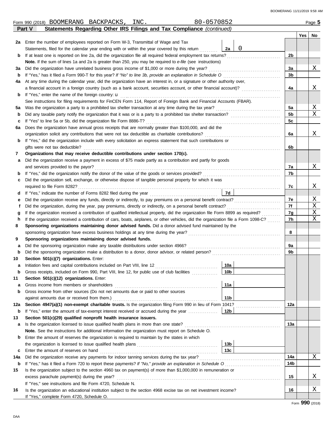|         | Statements Regarding Other IRS Filings and Tax Compliance (continued)<br>Part V                                                    |                 |                |          |     |        |  |
|---------|------------------------------------------------------------------------------------------------------------------------------------|-----------------|----------------|----------|-----|--------|--|
|         |                                                                                                                                    |                 |                |          | Yes | No.    |  |
| 2a      | Enter the number of employees reported on Form W-3, Transmittal of Wage and Tax                                                    |                 |                |          |     |        |  |
|         | Statements, filed for the calendar year ending with or within the year covered by this return                                      | 2a              | $\overline{0}$ |          |     |        |  |
| b       | If at least one is reported on line 2a, did the organization file all required federal employment tax returns?                     |                 |                | 2b       |     |        |  |
|         | Note. If the sum of lines 1a and 2a is greater than 250, you may be required to e-file (see instructions)                          |                 |                |          |     |        |  |
| за      | Did the organization have unrelated business gross income of \$1,000 or more during the year?                                      |                 |                | За       |     | Χ      |  |
| b       |                                                                                                                                    |                 |                | 3b       |     |        |  |
| 4a      | At any time during the calendar year, did the organization have an interest in, or a signature or other authority over,            |                 |                |          |     |        |  |
|         | a financial account in a foreign country (such as a bank account, securities account, or other financial account)?                 |                 |                | 4a       |     | Χ      |  |
| b       | If "Yes," enter the name of the foreign country: <b>u</b>                                                                          |                 |                |          |     |        |  |
|         | See instructions for filing requirements for FinCEN Form 114, Report of Foreign Bank and Financial Accounts (FBAR).                |                 |                |          |     |        |  |
| 5а      |                                                                                                                                    |                 |                | 5a<br>5b |     | Χ<br>X |  |
| b       | If "Yes" to line 5a or 5b, did the organization file Form 8886-T?                                                                  |                 |                | 5c       |     |        |  |
| с<br>6а | Does the organization have annual gross receipts that are normally greater than \$100,000, and did the                             |                 |                |          |     |        |  |
|         | organization solicit any contributions that were not tax deductible as charitable contributions?                                   |                 |                | 6a       |     | Χ      |  |
| b       | If "Yes," did the organization include with every solicitation an express statement that such contributions or                     |                 |                |          |     |        |  |
|         | gifts were not tax deductible?                                                                                                     |                 |                | 6b       |     |        |  |
| 7       | Organizations that may receive deductible contributions under section 170(c).                                                      |                 |                |          |     |        |  |
| а       | Did the organization receive a payment in excess of \$75 made partly as a contribution and partly for goods                        |                 |                |          |     |        |  |
|         | and services provided to the payor?                                                                                                |                 |                | 7a       |     | Χ      |  |
| b       |                                                                                                                                    |                 |                | 7b       |     |        |  |
| c       | Did the organization sell, exchange, or otherwise dispose of tangible personal property for which it was                           |                 |                |          |     |        |  |
|         |                                                                                                                                    |                 |                | 7с       |     | Χ      |  |
| a       |                                                                                                                                    | 7d              |                |          |     |        |  |
| е       |                                                                                                                                    |                 |                | 7е       |     | Χ      |  |
| f       | Did the organization, during the year, pay premiums, directly or indirectly, on a personal benefit contract?                       |                 |                | 7f       |     | Χ      |  |
| g       | If the organization received a contribution of qualified intellectual property, did the organization file Form 8899 as required?   |                 |                |          |     |        |  |
| h       | If the organization received a contribution of cars, boats, airplanes, or other vehicles, did the organization file a Form 1098-C? |                 |                | 7h       |     | X      |  |
| 8       | Sponsoring organizations maintaining donor advised funds. Did a donor advised fund maintained by the                               |                 |                |          |     |        |  |
|         | sponsoring organization have excess business holdings at any time during the year?                                                 |                 |                | 8        |     |        |  |
| 9       | Sponsoring organizations maintaining donor advised funds.                                                                          |                 |                |          |     |        |  |
| а       | Did the sponsoring organization make any taxable distributions under section 4966?                                                 |                 |                | 9а       |     |        |  |
| b       |                                                                                                                                    |                 |                | 9b       |     |        |  |
| 10      | Section 501(c)(7) organizations. Enter:                                                                                            |                 |                |          |     |        |  |
| а       |                                                                                                                                    | 10a             |                |          |     |        |  |
|         | Gross receipts, included on Form 990, Part VIII, line 12, for public use of club facilities                                        | 10 <sub>b</sub> |                |          |     |        |  |
| 11      | Section 501(c)(12) organizations. Enter:                                                                                           |                 |                |          |     |        |  |
| а       | Gross income from members or shareholders                                                                                          | 11a             |                |          |     |        |  |
| b       | Gross income from other sources (Do not net amounts due or paid to other sources<br>against amounts due or received from them.)    | 11 <sub>b</sub> |                |          |     |        |  |
| 12a     | Section 4947(a)(1) non-exempt charitable trusts. Is the organization filing Form 990 in lieu of Form 1041?                         |                 |                | 12a      |     |        |  |
| b       | If "Yes," enter the amount of tax-exempt interest received or accrued during the year <i>conservances</i>                          | 12b             |                |          |     |        |  |
| 13      | Section 501(c)(29) qualified nonprofit health insurance issuers.                                                                   |                 |                |          |     |        |  |
| а       | Is the organization licensed to issue qualified health plans in more than one state?                                               |                 |                | 13а      |     |        |  |
|         | Note. See the instructions for additional information the organization must report on Schedule O.                                  |                 |                |          |     |        |  |
| b       | Enter the amount of reserves the organization is required to maintain by the states in which                                       |                 |                |          |     |        |  |
|         |                                                                                                                                    | 13 <sub>b</sub> |                |          |     |        |  |
| c       | Enter the amount of reserves on hand                                                                                               | 13c             |                |          |     |        |  |
| 14a     | Did the organization receive any payments for indoor tanning services during the tax year?                                         |                 |                | 14a      |     | Χ      |  |
| b       |                                                                                                                                    |                 |                | 14b      |     |        |  |
| 15      | Is the organization subject to the section 4960 tax on payment(s) of more than \$1,000,000 in remuneration or                      |                 |                |          |     |        |  |
|         | excess parachute payment(s) during the year?                                                                                       |                 |                | 15       |     | Χ      |  |
|         | If "Yes," see instructions and file Form 4720, Schedule N.                                                                         |                 |                |          |     |        |  |
| 16      | Is the organization an educational institution subject to the section 4968 excise tax on net investment income?                    |                 |                | 16       |     | Χ      |  |
|         | If "Yes," complete Form 4720, Schedule O.                                                                                          |                 |                |          |     |        |  |

Form 990 (2018) Page **5** BOOMERANG BACKPACKS, INC. 80-0570852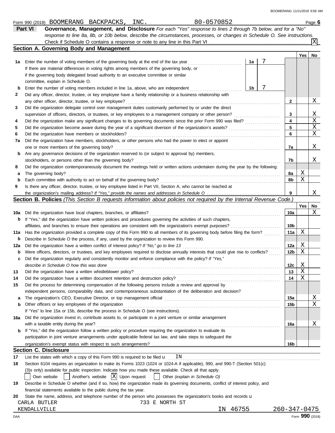|     | response to line 8a, 8b, or 10b below, describe the circumstances, processes, or changes in Schedule O. See instructions.           |                         |                 |    |  |  |  |
|-----|-------------------------------------------------------------------------------------------------------------------------------------|-------------------------|-----------------|----|--|--|--|
|     |                                                                                                                                     |                         |                 |    |  |  |  |
|     | Section A. Governing Body and Management                                                                                            |                         |                 |    |  |  |  |
|     |                                                                                                                                     |                         | Yes             | No |  |  |  |
| 1а  | 7<br>Enter the number of voting members of the governing body at the end of the tax year<br>1a                                      |                         |                 |    |  |  |  |
|     | If there are material differences in voting rights among members of the governing body, or                                          |                         |                 |    |  |  |  |
|     | if the governing body delegated broad authority to an executive committee or similar                                                |                         |                 |    |  |  |  |
|     | committee, explain in Schedule O.                                                                                                   |                         |                 |    |  |  |  |
| b   | 7<br>1b<br>Enter the number of voting members included in line 1a, above, who are independent                                       |                         |                 |    |  |  |  |
| 2   | Did any officer, director, trustee, or key employee have a family relationship or a business relationship with                      |                         |                 |    |  |  |  |
|     | any other officer, director, trustee, or key employee?                                                                              | $\mathbf{2}$            |                 | Χ  |  |  |  |
| 3   | Did the organization delegate control over management duties customarily performed by or under the direct                           |                         |                 |    |  |  |  |
|     | supervision of officers, directors, or trustees, or key employees to a management company or other person?                          | 3                       |                 | Χ  |  |  |  |
| 4   | Did the organization make any significant changes to its governing documents since the prior Form 990 was filed?                    | $\overline{\mathbf{4}}$ |                 | Χ  |  |  |  |
| 5   | Did the organization become aware during the year of a significant diversion of the organization's assets?                          | 5                       |                 | X  |  |  |  |
| 6   | Did the organization have members or stockholders?                                                                                  | 6                       |                 | Χ  |  |  |  |
| 7a  | Did the organization have members, stockholders, or other persons who had the power to elect or appoint                             |                         |                 |    |  |  |  |
|     | one or more members of the governing body?                                                                                          | 7a                      |                 | Χ  |  |  |  |
| b   | Are any governance decisions of the organization reserved to (or subject to approval by) members,                                   |                         |                 |    |  |  |  |
|     | stockholders, or persons other than the governing body?                                                                             | 7b                      |                 | Χ  |  |  |  |
| 8   | Did the organization contemporaneously document the meetings held or written actions undertaken during the year by the following:   |                         |                 |    |  |  |  |
| а   | The governing body?                                                                                                                 | 8а                      | Χ               |    |  |  |  |
| b   | Each committee with authority to act on behalf of the governing body?                                                               | 8b                      | Χ               |    |  |  |  |
| 9   | Is there any officer, director, trustee, or key employee listed in Part VII, Section A, who cannot be reached at                    |                         |                 |    |  |  |  |
|     |                                                                                                                                     | 9                       |                 | Χ  |  |  |  |
|     | <b>Section B. Policies</b> (This Section B requests information about policies not required by the Internal Revenue Code.)          |                         |                 |    |  |  |  |
|     |                                                                                                                                     |                         | Yes             | No |  |  |  |
| 10a | Did the organization have local chapters, branches, or affiliates?                                                                  | 10a                     |                 | Χ  |  |  |  |
| b   | If "Yes," did the organization have written policies and procedures governing the activities of such chapters,                      |                         |                 |    |  |  |  |
|     | affiliates, and branches to ensure their operations are consistent with the organization's exempt purposes?                         | 10b                     |                 |    |  |  |  |
| 11a | Has the organization provided a complete copy of this Form 990 to all members of its governing body before filing the form?         | 11a                     | Χ               |    |  |  |  |
| b   | Describe in Schedule O the process, if any, used by the organization to review this Form 990.                                       |                         |                 |    |  |  |  |
| 12a | Did the organization have a written conflict of interest policy? If "No," go to line 13                                             | 12a                     | Χ               |    |  |  |  |
| b   | Were officers, directors, or trustees, and key employees required to disclose annually interests that could give rise to conflicts? | 12b                     | Χ               |    |  |  |  |
| c   | Did the organization regularly and consistently monitor and enforce compliance with the policy? If "Yes,"                           |                         |                 |    |  |  |  |
|     | describe in Schedule O how this was done                                                                                            | 12c                     | Χ               |    |  |  |  |
| 13  |                                                                                                                                     | 13                      | Χ               |    |  |  |  |
| 14  | Did the organization have a written document retention and destruction policy?                                                      | 14                      | $\mathbf X$     |    |  |  |  |
| 15  | Did the process for determining compensation of the following persons include a review and approval by                              |                         |                 |    |  |  |  |
|     | independent persons, comparability data, and contemporaneous substantiation of the deliberation and decision?                       |                         |                 |    |  |  |  |
| a   |                                                                                                                                     | 15a                     |                 | X  |  |  |  |
| b   | Other officers or key employees of the organization                                                                                 | 15 <sub>b</sub>         |                 | Χ  |  |  |  |
|     | If "Yes" to line 15a or 15b, describe the process in Schedule O (see instructions).                                                 |                         |                 |    |  |  |  |
| 16a | Did the organization invest in, contribute assets to, or participate in a joint venture or similar arrangement                      |                         |                 |    |  |  |  |
|     | with a taxable entity during the year?                                                                                              | 16a                     |                 | Χ  |  |  |  |
| b   | If "Yes," did the organization follow a written policy or procedure requiring the organization to evaluate its                      |                         |                 |    |  |  |  |
|     | participation in joint venture arrangements under applicable federal tax law, and take steps to safeguard the                       |                         |                 |    |  |  |  |
|     |                                                                                                                                     |                         |                 |    |  |  |  |
|     |                                                                                                                                     | 16b                     |                 |    |  |  |  |
|     | <b>Section C. Disclosure</b>                                                                                                        |                         |                 |    |  |  |  |
| 17  | List the states with which a copy of this Form 990 is required to be filed $\mathbf u$<br>ΙN                                        |                         |                 |    |  |  |  |
| 18  | Section 6104 requires an organization to make its Forms 1023 (1024 or 1024-A if applicable), 990, and 990-T (Section 501(c)         |                         |                 |    |  |  |  |
|     | (3)s only) available for public inspection. Indicate how you made these available. Check all that apply.                            |                         |                 |    |  |  |  |
|     | Another's website $ X $ Upon request<br>Other (explain in Schedule O)<br>Own website                                                |                         |                 |    |  |  |  |
| 19  | Describe in Schedule O whether (and if so, how) the organization made its governing documents, conflict of interest policy, and     |                         |                 |    |  |  |  |
|     | financial statements available to the public during the tax year.                                                                   |                         |                 |    |  |  |  |
| 20  | State the name, address, and telephone number of the person who possesses the organization's books and records u                    |                         |                 |    |  |  |  |
|     | 733 E NORTH ST<br>CARLA BUTLER                                                                                                      |                         |                 |    |  |  |  |
|     | 46755<br>KENDALLVILLE<br>ΙN                                                                                                         | $260 - 347 - 0475$      |                 |    |  |  |  |
| DAA |                                                                                                                                     |                         | Form 990 (2018) |    |  |  |  |

Form 990 (2018) Page **6** BOOMERANG BACKPACKS, INC. 80-0570852 **Part VI Governance, Management, and Disclosure** *For each "Yes" response to lines 2 through 7b below, and for a "No"*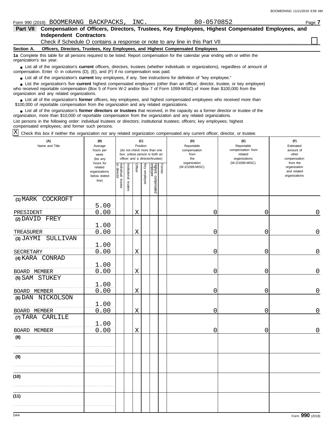|                          | Form 990 (2018) BOOMERANG BACKPACKS,                                                      | INC. | 80-0570852                                                                                                                                    | Page 7 |
|--------------------------|-------------------------------------------------------------------------------------------|------|-----------------------------------------------------------------------------------------------------------------------------------------------|--------|
| <b>Part VII</b>          |                                                                                           |      | Compensation of Officers, Directors, Trustees, Key Employees, Highest Compensated Employees, and                                              |        |
|                          | <b>Independent Contractors</b>                                                            |      |                                                                                                                                               |        |
|                          |                                                                                           |      |                                                                                                                                               |        |
| Section A.               |                                                                                           |      | Officers, Directors, Trustees, Key Employees, and Highest Compensated Employees                                                               |        |
| organization's tax year. |                                                                                           |      | 1a Complete this table for all persons required to be listed. Report compensation for the calendar year ending with or within the             |        |
|                          | compensation. Enter -0- in columns $(D)$ , $(E)$ , and $(F)$ if no compensation was paid. |      | • List all of the organization's <b>current</b> officers, directors, trustees (whether individuals or organizations), regardless of amount of |        |
|                          |                                                                                           |      | • List all of the organization's <b>current</b> key employees, if any. See instructions for definition of "key employee."                     |        |
|                          |                                                                                           |      | • List the organization's five current highest compensated employees (other than an officer, director, trustee, or key employee)              |        |

who received reportable compensation (Box 5 of Form W-2 and/or Box 7 of Form 1099-MISC) of more than \$100,000 from the organization and any related organizations. **•**

List all of the organization's **former** officers, key employees, and highest compensated employees who received more than • List all of the organization's former officers, key employees, and highest compensate \$100,000 of reportable compensation from the organization and any related organizations.

■ List all of the organization's **former directors or trustees** that received, in the capacity as a former director or trustee of the property is a former director or trustee of the property of the organization and any re organization, more than \$10,000 of reportable compensation from the organization and any related organizations. List persons in the following order: individual trustees or directors; institutional trustees; officers; key employees; highest

compensated employees; and former such persons.

 $\overline{X}$  Check this box if neither the organization nor any related organization compensated any current officer, director, or trustee.

| (A)<br>Name and Title | (B)<br>Average<br>hours per<br>week<br>(list any               | (C)<br>Position<br>(do not check more than one<br>box, unless person is both an<br>officer and a director/trustee) |                       |         |              |                                 |        | (D)<br>Reportable<br>compensation<br>from<br>the | (E)<br>Reportable<br>compensation from<br>related<br>organizations | (F)<br>Estimated<br>amount of<br>other<br>compensation   |
|-----------------------|----------------------------------------------------------------|--------------------------------------------------------------------------------------------------------------------|-----------------------|---------|--------------|---------------------------------|--------|--------------------------------------------------|--------------------------------------------------------------------|----------------------------------------------------------|
|                       | hours for<br>related<br>organizations<br>below dotted<br>line) | Individual trustee                                                                                                 | Institutional trustee | Officer | Key employee | Highest compensated<br>employee | Former | organization<br>(W-2/1099-MISC)                  | (W-2/1099-MISC)                                                    | from the<br>organization<br>and related<br>organizations |
| (1) MARK COCKROFT     | 5.00                                                           |                                                                                                                    |                       |         |              |                                 |        |                                                  |                                                                    |                                                          |
| PRESIDENT             | 0.00                                                           |                                                                                                                    |                       | X       |              |                                 |        | 0                                                | 0                                                                  | 0                                                        |
| (2) DAVID FREY        |                                                                |                                                                                                                    |                       |         |              |                                 |        |                                                  |                                                                    |                                                          |
|                       | 1.00                                                           |                                                                                                                    |                       |         |              |                                 |        |                                                  |                                                                    |                                                          |
| TREASURER             | 0.00                                                           |                                                                                                                    |                       | X       |              |                                 |        | 0                                                | 0                                                                  | 0                                                        |
| (3) JAYMI SULLIVAN    |                                                                |                                                                                                                    |                       |         |              |                                 |        |                                                  |                                                                    |                                                          |
| SECRETARY             | 1.00<br>0.00                                                   |                                                                                                                    |                       | X       |              |                                 |        | 0                                                | 0                                                                  | $\mathsf 0$                                              |
| (4) KARA CONRAD       |                                                                |                                                                                                                    |                       |         |              |                                 |        |                                                  |                                                                    |                                                          |
| BOARD MEMBER          | 1.00<br>0.00                                                   |                                                                                                                    |                       | X       |              |                                 |        | 0                                                | 0                                                                  | 0                                                        |
| (5) SAM STUKEY        |                                                                |                                                                                                                    |                       |         |              |                                 |        |                                                  |                                                                    |                                                          |
| BOARD MEMBER          | 1.00<br>0.00                                                   |                                                                                                                    |                       | X       |              |                                 |        | 0                                                | 0                                                                  | $\mathbf 0$                                              |
| (6) DAN NICKOLSON     |                                                                |                                                                                                                    |                       |         |              |                                 |        |                                                  |                                                                    |                                                          |
|                       | 1.00                                                           |                                                                                                                    |                       |         |              |                                 |        |                                                  |                                                                    |                                                          |
| BOARD MEMBER          | 0.00                                                           |                                                                                                                    |                       | Χ       |              |                                 |        | 0                                                | 0                                                                  | 0                                                        |
| (7) TARA CARLILE      | 1.00<br>0.00                                                   |                                                                                                                    |                       | X       |              |                                 |        | 0                                                | 0                                                                  | 0                                                        |
| BOARD MEMBER<br>(8)   |                                                                |                                                                                                                    |                       |         |              |                                 |        |                                                  |                                                                    |                                                          |
|                       |                                                                |                                                                                                                    |                       |         |              |                                 |        |                                                  |                                                                    |                                                          |
| (9)                   |                                                                |                                                                                                                    |                       |         |              |                                 |        |                                                  |                                                                    |                                                          |
|                       |                                                                |                                                                                                                    |                       |         |              |                                 |        |                                                  |                                                                    |                                                          |
| (10)                  |                                                                |                                                                                                                    |                       |         |              |                                 |        |                                                  |                                                                    |                                                          |
|                       |                                                                |                                                                                                                    |                       |         |              |                                 |        |                                                  |                                                                    |                                                          |
| (11)                  |                                                                |                                                                                                                    |                       |         |              |                                 |        |                                                  |                                                                    |                                                          |
|                       |                                                                |                                                                                                                    |                       |         |              |                                 |        |                                                  |                                                                    |                                                          |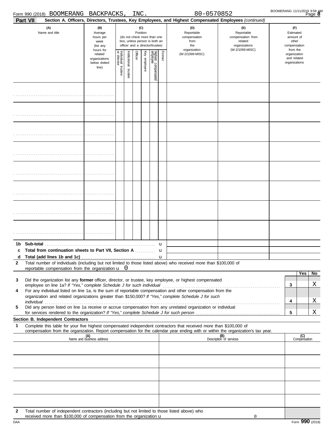| Form 990<br>(2018) | <b>BOOMERANG</b> | $\cap$ $\Gamma$<br>$ATZ$ $\Gamma$ $\Lambda$<br>PACKS<br>BACKF | INC | $\sim$<br>7710.<br>∪o⊃∠ | <b>DUUIVIERAINU</b><br>71 172 U 19 9.00 A<br>Page |
|--------------------|------------------|---------------------------------------------------------------|-----|-------------------------|---------------------------------------------------|
|                    |                  |                                                               |     |                         |                                                   |

|              | Part VII                                                                                                                                                                                                                                                                                                                                                                                                   |                                                                |                                   |                          |         |                 |                                                                                                 |        | Section A. Officers, Directors, Trustees, Key Employees, and Highest Compensated Employees (continued) |                                                                                       |  |                                                                    |                     |              |
|--------------|------------------------------------------------------------------------------------------------------------------------------------------------------------------------------------------------------------------------------------------------------------------------------------------------------------------------------------------------------------------------------------------------------------|----------------------------------------------------------------|-----------------------------------|--------------------------|---------|-----------------|-------------------------------------------------------------------------------------------------|--------|--------------------------------------------------------------------------------------------------------|---------------------------------------------------------------------------------------|--|--------------------------------------------------------------------|---------------------|--------------|
|              | (A)<br>Name and title                                                                                                                                                                                                                                                                                                                                                                                      | (B)<br>Average<br>hours per<br>week<br>(list any               |                                   |                          |         | (C)<br>Position | (do not check more than one<br>box, unless person is both an<br>officer and a director/trustee) |        | (D)<br>Reportable<br>compensation<br>from<br>the                                                       | (E)<br>Reportable<br>compensation from<br>related<br>organizations<br>(W-2/1099-MISC) |  | (F)<br>Estimated<br>amount of<br>other<br>compensation<br>from the |                     |              |
|              |                                                                                                                                                                                                                                                                                                                                                                                                            | hours for<br>related<br>organizations<br>below dotted<br>line) | Individual trustee<br>or director | Institutional<br>trustee | Officer | Key employee    | Highest compensated<br>employee                                                                 | Former | organization<br>(W-2/1099-MISC)                                                                        |                                                                                       |  | organization<br>and related<br>organizations                       |                     |              |
|              |                                                                                                                                                                                                                                                                                                                                                                                                            |                                                                |                                   |                          |         |                 |                                                                                                 |        |                                                                                                        |                                                                                       |  |                                                                    |                     |              |
|              |                                                                                                                                                                                                                                                                                                                                                                                                            |                                                                |                                   |                          |         |                 |                                                                                                 |        |                                                                                                        |                                                                                       |  |                                                                    |                     |              |
|              |                                                                                                                                                                                                                                                                                                                                                                                                            |                                                                |                                   |                          |         |                 |                                                                                                 |        |                                                                                                        |                                                                                       |  |                                                                    |                     |              |
|              |                                                                                                                                                                                                                                                                                                                                                                                                            |                                                                |                                   |                          |         |                 |                                                                                                 |        |                                                                                                        |                                                                                       |  |                                                                    |                     |              |
|              |                                                                                                                                                                                                                                                                                                                                                                                                            |                                                                |                                   |                          |         |                 |                                                                                                 |        |                                                                                                        |                                                                                       |  |                                                                    |                     |              |
|              |                                                                                                                                                                                                                                                                                                                                                                                                            |                                                                |                                   |                          |         |                 |                                                                                                 |        |                                                                                                        |                                                                                       |  |                                                                    |                     |              |
|              |                                                                                                                                                                                                                                                                                                                                                                                                            |                                                                |                                   |                          |         |                 |                                                                                                 |        |                                                                                                        |                                                                                       |  |                                                                    |                     |              |
|              |                                                                                                                                                                                                                                                                                                                                                                                                            |                                                                |                                   |                          |         |                 |                                                                                                 |        |                                                                                                        |                                                                                       |  |                                                                    |                     |              |
|              |                                                                                                                                                                                                                                                                                                                                                                                                            |                                                                |                                   |                          |         |                 |                                                                                                 | u      |                                                                                                        |                                                                                       |  |                                                                    |                     |              |
| c<br>d<br>2  | Total from continuation sheets to Part VII, Section A  u<br>Total number of individuals (including but not limited to those listed above) who received more than \$100,000 of<br>reportable compensation from the organization $\mathbf{u}$ 0                                                                                                                                                              |                                                                |                                   |                          |         |                 |                                                                                                 | u      |                                                                                                        |                                                                                       |  |                                                                    |                     |              |
| 3<br>4       | Did the organization list any former officer, director, or trustee, key employee, or highest compensated<br>employee on line 1a? If "Yes," complete Schedule J for such individual<br>For any individual listed on line 1a, is the sum of reportable compensation and other compensation from the<br>organization and related organizations greater than \$150,000? If "Yes," complete Schedule J for such |                                                                |                                   |                          |         |                 |                                                                                                 |        |                                                                                                        |                                                                                       |  | 3<br>4                                                             | Yes                 | No<br>Χ<br>Χ |
| 5            | Did any person listed on line 1a receive or accrue compensation from any unrelated organization or individual                                                                                                                                                                                                                                                                                              |                                                                |                                   |                          |         |                 |                                                                                                 |        |                                                                                                        |                                                                                       |  | 5                                                                  |                     | Χ            |
|              | Section B. Independent Contractors                                                                                                                                                                                                                                                                                                                                                                         |                                                                |                                   |                          |         |                 |                                                                                                 |        |                                                                                                        |                                                                                       |  |                                                                    |                     |              |
| $\mathbf 1$  | Complete this table for your five highest compensated independent contractors that received more than \$100,000 of<br>compensation from the organization. Report compensation for the calendar year ending with or within the organization's tax year.                                                                                                                                                     |                                                                |                                   |                          |         |                 |                                                                                                 |        |                                                                                                        |                                                                                       |  |                                                                    |                     |              |
|              |                                                                                                                                                                                                                                                                                                                                                                                                            | (A)<br>Name and business address                               |                                   |                          |         |                 |                                                                                                 |        |                                                                                                        | (B)<br>Description of services                                                        |  |                                                                    | (C)<br>Compensation |              |
|              |                                                                                                                                                                                                                                                                                                                                                                                                            |                                                                |                                   |                          |         |                 |                                                                                                 |        |                                                                                                        |                                                                                       |  |                                                                    |                     |              |
|              |                                                                                                                                                                                                                                                                                                                                                                                                            |                                                                |                                   |                          |         |                 |                                                                                                 |        |                                                                                                        |                                                                                       |  |                                                                    |                     |              |
|              |                                                                                                                                                                                                                                                                                                                                                                                                            |                                                                |                                   |                          |         |                 |                                                                                                 |        |                                                                                                        |                                                                                       |  |                                                                    |                     |              |
|              |                                                                                                                                                                                                                                                                                                                                                                                                            |                                                                |                                   |                          |         |                 |                                                                                                 |        |                                                                                                        |                                                                                       |  |                                                                    |                     |              |
|              |                                                                                                                                                                                                                                                                                                                                                                                                            |                                                                |                                   |                          |         |                 |                                                                                                 |        |                                                                                                        |                                                                                       |  |                                                                    |                     |              |
| $\mathbf{2}$ | Total number of independent contractors (including but not limited to those listed above) who<br>received more than \$100,000 of compensation from the organization u                                                                                                                                                                                                                                      |                                                                |                                   |                          |         |                 |                                                                                                 |        |                                                                                                        | 0                                                                                     |  |                                                                    |                     |              |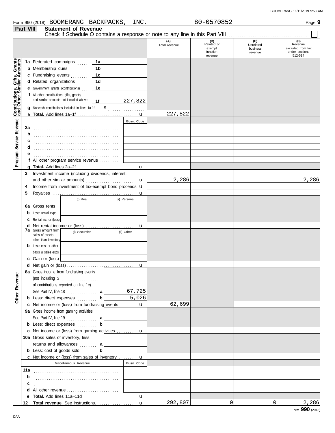|                                              | Part VIII | <b>Statement of Revenue</b>                                 |                |                   |                      |                                                      |                                         |                                                                  |
|----------------------------------------------|-----------|-------------------------------------------------------------|----------------|-------------------|----------------------|------------------------------------------------------|-----------------------------------------|------------------------------------------------------------------|
|                                              |           |                                                             |                |                   | (A)<br>Total revenue | $(B)$<br>Related or<br>exempt<br>function<br>revenue | (C)<br>Unrelated<br>business<br>revenue | (D)<br>Revenue<br>excluded from tax<br>under sections<br>512-514 |
|                                              |           | 1a Federated campaigns                                      | 1a             |                   |                      |                                                      |                                         |                                                                  |
| Service Revenue Contributions, Gifts, Grants |           | <b>b</b> Membership dues                                    | 1 <sub>b</sub> |                   |                      |                                                      |                                         |                                                                  |
|                                              |           | c Fundraising events                                        | 1 <sub>c</sub> |                   |                      |                                                      |                                         |                                                                  |
|                                              |           | d Related organizations                                     | 1 <sub>d</sub> |                   |                      |                                                      |                                         |                                                                  |
|                                              |           | e Government grants (contributions)                         | 1e             |                   |                      |                                                      |                                         |                                                                  |
|                                              |           | f All other contributions, gifts, grants,                   |                |                   |                      |                                                      |                                         |                                                                  |
|                                              |           | and similar amounts not included above                      | 1f             | 227,822           |                      |                                                      |                                         |                                                                  |
|                                              | a         | Noncash contributions included in lines 1a-1f:              | \$             |                   |                      |                                                      |                                         |                                                                  |
|                                              |           |                                                             |                |                   | 227,822              |                                                      |                                         |                                                                  |
|                                              |           |                                                             |                | Busn. Code        |                      |                                                      |                                         |                                                                  |
|                                              | 2a        |                                                             |                |                   |                      |                                                      |                                         |                                                                  |
|                                              | b         |                                                             |                |                   |                      |                                                      |                                         |                                                                  |
|                                              | c         |                                                             |                |                   |                      |                                                      |                                         |                                                                  |
|                                              | d         |                                                             |                |                   |                      |                                                      |                                         |                                                                  |
|                                              | е         |                                                             |                |                   |                      |                                                      |                                         |                                                                  |
| Program                                      |           | f All other program service revenue                         |                |                   |                      |                                                      |                                         |                                                                  |
|                                              | q         |                                                             |                | $\mathbf u$       |                      |                                                      |                                         |                                                                  |
|                                              | 3         | Investment income (including dividends, interest,           |                |                   |                      |                                                      |                                         |                                                                  |
|                                              |           | and other similar amounts)                                  |                | $\mathbf u$       | 2,286                |                                                      |                                         | 2,286                                                            |
|                                              | 4         | Income from investment of tax-exempt bond proceeds <b>u</b> |                |                   |                      |                                                      |                                         |                                                                  |
|                                              | 5         |                                                             |                | $\mathbf u$       |                      |                                                      |                                         |                                                                  |
|                                              |           | (i) Real                                                    |                | (ii) Personal     |                      |                                                      |                                         |                                                                  |
|                                              |           | <b>6a</b> Gross rents                                       |                |                   |                      |                                                      |                                         |                                                                  |
|                                              |           | <b>b</b> Less: rental exps.                                 |                |                   |                      |                                                      |                                         |                                                                  |
|                                              |           | <b>c</b> Rental inc. or (loss)                              |                |                   |                      |                                                      |                                         |                                                                  |
|                                              |           |                                                             |                | $\mathbf u$       |                      |                                                      |                                         |                                                                  |
|                                              |           | <b>7a</b> Gross amount from<br>(i) Securities               |                | (ii) Other        |                      |                                                      |                                         |                                                                  |
|                                              |           | sales of assets<br>other than inventory                     |                |                   |                      |                                                      |                                         |                                                                  |
|                                              |           | <b>b</b> Less: cost or other                                |                |                   |                      |                                                      |                                         |                                                                  |
|                                              |           | basis & sales exps.                                         |                |                   |                      |                                                      |                                         |                                                                  |
|                                              |           | c Gain or (loss)                                            |                |                   |                      |                                                      |                                         |                                                                  |
|                                              |           |                                                             |                |                   |                      |                                                      |                                         |                                                                  |
|                                              |           | 8a Gross income from fundraising events                     |                |                   |                      |                                                      |                                         |                                                                  |
|                                              |           | (not including $\$\dots$                                    |                |                   |                      |                                                      |                                         |                                                                  |
|                                              |           | of contributions reported on line 1c).                      |                |                   |                      |                                                      |                                         |                                                                  |
|                                              |           | See Part IV, line 18                                        | a              | 67,725            |                      |                                                      |                                         |                                                                  |
| <b>Other Revenue</b>                         |           | <b>b</b> Less: direct expenses $\ldots$                     | $\mathsf{b}$   | 5,026             |                      |                                                      |                                         |                                                                  |
|                                              |           | c Net income or (loss) from fundraising events  u           |                |                   | 62,699               |                                                      |                                         |                                                                  |
|                                              |           | 9a Gross income from gaming activities.                     |                |                   |                      |                                                      |                                         |                                                                  |
|                                              |           |                                                             |                |                   |                      |                                                      |                                         |                                                                  |
|                                              |           | <b>b</b> Less: direct expenses                              |                |                   |                      |                                                      |                                         |                                                                  |
|                                              |           | c Net income or (loss) from gaming activities  u            |                |                   |                      |                                                      |                                         |                                                                  |
|                                              |           | 10a Gross sales of inventory, less                          |                |                   |                      |                                                      |                                         |                                                                  |
|                                              |           | returns and allowances  a                                   |                |                   |                      |                                                      |                                         |                                                                  |
|                                              |           | <b>b</b> Less: cost of goods sold                           | $\mathbf b$    |                   |                      |                                                      |                                         |                                                                  |
|                                              |           | c Net income or (loss) from sales of inventory  u           |                |                   |                      |                                                      |                                         |                                                                  |
|                                              |           | Miscellaneous Revenue                                       |                | <b>Busn. Code</b> |                      |                                                      |                                         |                                                                  |
|                                              | 11a       |                                                             |                |                   |                      |                                                      |                                         |                                                                  |
|                                              | b         |                                                             |                |                   |                      |                                                      |                                         |                                                                  |
|                                              | c         |                                                             |                |                   |                      |                                                      |                                         |                                                                  |
|                                              |           |                                                             |                |                   |                      |                                                      |                                         |                                                                  |
|                                              |           |                                                             |                | $\mathbf{u}$      |                      |                                                      |                                         |                                                                  |
|                                              |           |                                                             |                |                   | 292,807              | $\Omega$                                             | 0                                       | 2,286                                                            |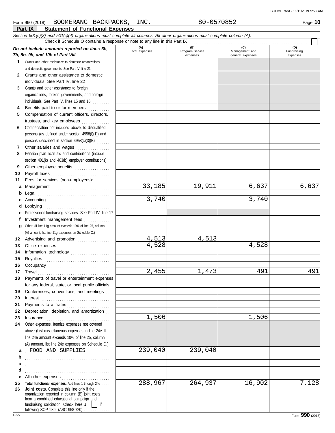#### **Part IX Statement of Functional Expenses** Form 990 (2018) Page **10** BOOMERANG BACKPACKS, INC. 80-0570852 *Section 501(c)(3) and 501(c)(4) organizations must complete all columns. All other organizations must complete column (A). Do not include amounts reported on lines 6b, 7b, 8b, 9b, and 10b of Part VIII.* **1 2 3 4 5 6** Compensation not included above, to disqualified **7 8 9 10 11 a** Management ................................. **b** Legal . . . . . . . . . . . . . . . . . . . . . . . . . . . . . . . . . . . . . . . . **c** Accounting . . . . . . . . . . . . . . . . . . . . . . . . . . . . . . . . . . **d** Lobbying . . . . . . . . . . . . . . . . . . . . . . . . . . . . . . . . . . . . . **e** Professional fundraising services. See Part IV, line 17 **f g** Other. (If line 11g amount exceeds 10% of line 25, column **12** Advertising and promotion . . . . . . . . . . . . . . . . . . **13 14 15 16 17 18 19 20 21 22** Depreciation, depletion, and amortization **... 23 24 a** FOOD AND SUPPLIES 239,040 239,040 **b c d e** All other expenses . . . . . . . . . . . . . . . . . . . . . . . . . . . **25 26** Grants and other assistance to domestic organizations and domestic governments. See Part IV, line 21 .......... Grants and other assistance to domestic individuals. See Part IV, line 22 Grants and other assistance to foreign organizations, foreign governments, and foreign individuals. See Part IV, lines 15 and 16 .......... Benefits paid to or for members ............. Compensation of current officers, directors, trustees, and key employees ................. persons (as defined under section 4958(f)(1)) and persons described in section 4958(c)(3)(B) . . . . . . . . Other salaries and wages ................... Pension plan accruals and contributions (include section 401(k) and 403(b) employer contributions) Other employee benefits .................... Payroll taxes . . . . . . . . . . . . . . . . . . . . . . . . . . . . . . . . . Fees for services (non-employees): Investment management fees ............... Office expenses . . . . . . . . . . . . . . . . . . . . . . . . . . . . . Information technology ...................... Royalties . . . . . . . . . . . . . . . . . . . . . . . . . . . . . . . . . . . . Occupancy . . . . . . . . . . . . . . . . . . . . . . . . . . . . . . . . . . Travel . . . . . . . . . . . . . . . . . . . . . . . . . . . . . . . . . . . . . . . . Payments of travel or entertainment expenses for any federal, state, or local public officials Conferences, conventions, and meetings Interest . . . . . . . . . . . . . . . . . . . . . . . . . . . . . . . . . . . . . . Payments to affiliates . . . . . . . . . . . . . . . . . . . . . . . . Insurance . . . . . . . . . . . . . . . . . . . . . . . . . . . . . . . . . . . . Other expenses. Itemize expenses not covered above (List miscellaneous expenses in line 24e. If line 24e amount exceeds 10% of line 25, column (A) amount, list line 24e expenses on Schedule O.) Total functional expenses. Add lines 1 through 24e . organization reported in column (B) joint costs **(A) (B) (C) (D)** Total expenses Program service Management and expenses and in the qeneral expenses Fundraising expenses . . . . . . . . . . . . . . . . . . . . . . . . . . . . . . . . . . . . . . . . . . . . . . . . . . . . . . . . . . . . . . . . . . . . . . . . . . . . . . . . . . . . . . . . . . . . . . . . . . . . . . . . . . . . . . . . . . . . . . . . . . . . . . . . . . . . . . . . . . . . . Check if Schedule O contains a response or note to any line in this Part IX **Joint costs.** Complete this line only if the (A) amount, list line 11g expenses on Schedule O.) . . . . . . . . <u>33,185 19,911 6,637 6,637</u> 3,740 3,740 <mark>4,513</mark> 4,513<br>4,528 4,528 4,528 <u>2,455 1,473 491 491 491</u> 1,506 1,506 288,967 264,937 16,902 7,128

fundraising solicitation. Check here  $\mathbf u$ 

following SOP 98-2 (ASC 958-720)

from a combined educational campaign and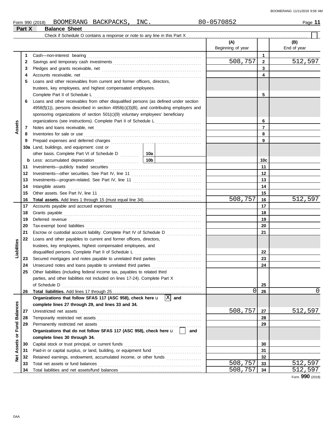| Form<br>990 (2018) | <b>BOOMERANG</b> | <b>BACKPACKS</b> | INC. | 1570852<br>$80 - 0$<br>へに<br>ັ | . .<br>Page |
|--------------------|------------------|------------------|------|--------------------------------|-------------|
| Part Y             | Ralance Sheet    |                  |      |                                |             |

|                 | <b>Fail A</b> | <b>DalalICE STIEEL</b>                                                                                                                                                                                                               |                          |                |                    |
|-----------------|---------------|--------------------------------------------------------------------------------------------------------------------------------------------------------------------------------------------------------------------------------------|--------------------------|----------------|--------------------|
|                 |               | Check if Schedule O contains a response or note to any line in this Part X                                                                                                                                                           |                          |                |                    |
|                 |               |                                                                                                                                                                                                                                      | (A)<br>Beginning of year |                | (B)<br>End of year |
|                 | 1             | Cash-non-interest bearing                                                                                                                                                                                                            |                          | $\mathbf{1}$   |                    |
|                 | 2             |                                                                                                                                                                                                                                      | 508,757                  | $\mathbf{2}$   | 512,597            |
|                 | 3             |                                                                                                                                                                                                                                      |                          | 3              |                    |
|                 | 4             | Accounts receivable, net                                                                                                                                                                                                             |                          | 4              |                    |
|                 | 5             | Loans and other receivables from current and former officers, directors,                                                                                                                                                             |                          |                |                    |
|                 |               | trustees, key employees, and highest compensated employees.                                                                                                                                                                          |                          |                |                    |
|                 |               | Complete Part II of Schedule L                                                                                                                                                                                                       |                          | 5              |                    |
|                 | 6             | Loans and other receivables from other disqualified persons (as defined under section                                                                                                                                                |                          |                |                    |
|                 |               | 4958(f)(1)), persons described in section 4958(c)(3)(B), and contributing employers and                                                                                                                                              |                          |                |                    |
|                 |               | sponsoring organizations of section 501(c)(9) voluntary employees' beneficiary                                                                                                                                                       |                          |                |                    |
|                 |               | organizations (see instructions). Complete Part II of Schedule L                                                                                                                                                                     |                          | 6              |                    |
| Assets          | 7             |                                                                                                                                                                                                                                      |                          | $\overline{7}$ |                    |
|                 | 8             | Inventories for sale or use                                                                                                                                                                                                          |                          | 8              |                    |
|                 | 9             | Prepaid expenses and deferred charges                                                                                                                                                                                                |                          | 9              |                    |
|                 |               | 10a Land, buildings, and equipment: cost or                                                                                                                                                                                          |                          |                |                    |
|                 |               |                                                                                                                                                                                                                                      |                          |                |                    |
|                 | b             | 10 <sub>b</sub><br>Less: accumulated depreciation                                                                                                                                                                                    |                          | 10c            |                    |
|                 | 11            | Investments-publicly traded securities                                                                                                                                                                                               |                          | 11             |                    |
|                 | 12            |                                                                                                                                                                                                                                      |                          | 12             |                    |
|                 | 13            |                                                                                                                                                                                                                                      |                          | 13             |                    |
|                 | 14            | Intangible assets                                                                                                                                                                                                                    |                          | 14             |                    |
|                 | 15            | Other assets. See Part IV, line 11                                                                                                                                                                                                   |                          | 15             |                    |
|                 | 16            |                                                                                                                                                                                                                                      | 508,757                  | 16             | 512,597            |
|                 | 17            |                                                                                                                                                                                                                                      |                          | 17             |                    |
|                 | 18            | Grants payable                                                                                                                                                                                                                       |                          | 18             |                    |
|                 | 19            | Deferred revenue <b>contract and the contract of the contract of the contract of the contract of the contract of the contract of the contract of the contract of the contract of the contract of the contract of the contract of</b> |                          | 19             |                    |
|                 | 20            |                                                                                                                                                                                                                                      |                          | 20             |                    |
|                 | 21            | Escrow or custodial account liability. Complete Part IV of Schedule D                                                                                                                                                                |                          | 21             |                    |
|                 | 22            | Loans and other payables to current and former officers, directors,                                                                                                                                                                  |                          |                |                    |
| Liabilities     |               | trustees, key employees, highest compensated employees, and                                                                                                                                                                          |                          |                |                    |
|                 |               | disqualified persons. Complete Part II of Schedule L                                                                                                                                                                                 |                          | 22             |                    |
|                 | 23            | Secured mortgages and notes payable to unrelated third parties                                                                                                                                                                       |                          | 23             |                    |
|                 | 24            | Unsecured notes and loans payable to unrelated third parties [[[[[[[[[[[[[[[[[[[[[[[[[]]]]]]]]]]                                                                                                                                     |                          | 24             |                    |
|                 | 25            | Other liabilities (including federal income tax, payables to related third                                                                                                                                                           |                          |                |                    |
|                 |               | parties, and other liabilities not included on lines 17-24). Complete Part X                                                                                                                                                         |                          |                |                    |
|                 |               | of Schedule D                                                                                                                                                                                                                        |                          | 25             |                    |
|                 | 26            |                                                                                                                                                                                                                                      | $\mathbf 0$              | 26             | 0                  |
|                 |               | Organizations that follow SFAS 117 (ASC 958), check here $\mathbf{u}$   X  and                                                                                                                                                       |                          |                |                    |
|                 |               | complete lines 27 through 29, and lines 33 and 34.                                                                                                                                                                                   |                          |                |                    |
|                 | 27            | Unrestricted net assets                                                                                                                                                                                                              | 508,757                  | 27             | 512,597            |
| <b>Balances</b> | 28            |                                                                                                                                                                                                                                      |                          | 28             |                    |
|                 | 29            | Permanently restricted net assets                                                                                                                                                                                                    |                          | 29             |                    |
| Fund            |               | Organizations that do not follow SFAS 117 (ASC 958), check here u<br>and                                                                                                                                                             |                          |                |                    |
| ŏ               |               | complete lines 30 through 34.                                                                                                                                                                                                        |                          |                |                    |
| Assets          | 30            | Capital stock or trust principal, or current funds                                                                                                                                                                                   |                          | 30             |                    |
|                 | 31            |                                                                                                                                                                                                                                      |                          | 31             |                    |
| ğ               | 32            | Retained earnings, endowment, accumulated income, or other funds                                                                                                                                                                     |                          | 32             |                    |
|                 | 33            | Total net assets or fund balances                                                                                                                                                                                                    | 508,757                  | 33             | 512,597            |
|                 | 34            |                                                                                                                                                                                                                                      | 508,757                  | 34             | 512,597            |

Form **990** (2018)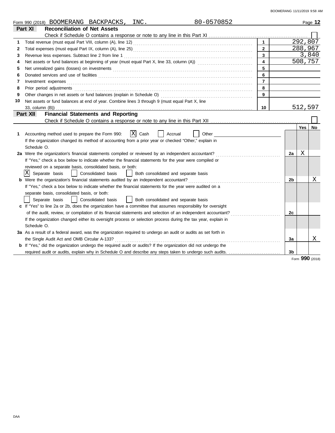|    | 80-0570852<br>Form 990 (2018) BOOMERANG BACKPACKS, INC.                                                                                                                                                                             |                         |                |            | Page 12  |
|----|-------------------------------------------------------------------------------------------------------------------------------------------------------------------------------------------------------------------------------------|-------------------------|----------------|------------|----------|
|    | <b>Reconciliation of Net Assets</b><br>Part XI                                                                                                                                                                                      |                         |                |            |          |
|    |                                                                                                                                                                                                                                     |                         |                |            |          |
| 1  |                                                                                                                                                                                                                                     | $\mathbf{1}$            |                |            | 292, 807 |
| 2  |                                                                                                                                                                                                                                     | $\overline{2}$          |                |            | 288,967  |
| 3  |                                                                                                                                                                                                                                     | 3                       |                |            | 3,840    |
| 4  |                                                                                                                                                                                                                                     | $\overline{\mathbf{4}}$ |                |            | 508,757  |
| 5  |                                                                                                                                                                                                                                     | 5                       |                |            |          |
| 6  |                                                                                                                                                                                                                                     | 6                       |                |            |          |
| 7  | Investment expenses <b>constant expenses</b>                                                                                                                                                                                        | $\overline{7}$          |                |            |          |
| 8  | Prior period adjustments <b>construction and construction</b> and construction of the construction of the construction of the construction of the construction of the construction of the construction of the construction of the c | 8                       |                |            |          |
| 9  |                                                                                                                                                                                                                                     | 9                       |                |            |          |
| 10 | Net assets or fund balances at end of year. Combine lines 3 through 9 (must equal Part X, line                                                                                                                                      |                         |                |            |          |
|    | 33, column (B))                                                                                                                                                                                                                     | 10                      |                | 512,597    |          |
|    | <b>Financial Statements and Reporting</b><br>Part XII                                                                                                                                                                               |                         |                |            |          |
|    |                                                                                                                                                                                                                                     |                         |                |            |          |
|    |                                                                                                                                                                                                                                     |                         |                | <b>Yes</b> | No       |
| 1. | X Cash<br>Accounting method used to prepare the Form 990:<br>Accrual<br>Other                                                                                                                                                       |                         |                |            |          |
|    | If the organization changed its method of accounting from a prior year or checked "Other," explain in                                                                                                                               |                         |                |            |          |
|    | Schedule O.                                                                                                                                                                                                                         |                         |                |            |          |
|    | 2a Were the organization's financial statements compiled or reviewed by an independent accountant?                                                                                                                                  |                         | 2a             | Χ          |          |
|    | If "Yes," check a box below to indicate whether the financial statements for the year were compiled or                                                                                                                              |                         |                |            |          |
|    | reviewed on a separate basis, consolidated basis, or both:                                                                                                                                                                          |                         |                |            |          |
|    | X Separate basis<br>Consolidated basis<br>Both consolidated and separate basis                                                                                                                                                      |                         |                |            |          |
|    | <b>b</b> Were the organization's financial statements audited by an independent accountant?                                                                                                                                         |                         | 2 <sub>b</sub> |            | X        |
|    | If "Yes," check a box below to indicate whether the financial statements for the year were audited on a                                                                                                                             |                         |                |            |          |
|    | separate basis, consolidated basis, or both:                                                                                                                                                                                        |                         |                |            |          |
|    | Consolidated basis<br>Separate basis<br>Both consolidated and separate basis                                                                                                                                                        |                         |                |            |          |
|    | c If "Yes" to line 2a or 2b, does the organization have a committee that assumes responsibility for oversight                                                                                                                       |                         |                |            |          |
|    | of the audit, review, or compilation of its financial statements and selection of an independent accountant?                                                                                                                        |                         | 2c             |            |          |
|    | If the organization changed either its oversight process or selection process during the tax year, explain in                                                                                                                       |                         |                |            |          |
|    | Schedule O.                                                                                                                                                                                                                         |                         |                |            |          |
|    | 3a As a result of a federal award, was the organization required to undergo an audit or audits as set forth in                                                                                                                      |                         |                |            |          |
|    | the Single Audit Act and OMB Circular A-133?                                                                                                                                                                                        |                         | 3a             |            | Χ        |
|    | <b>b</b> If "Yes," did the organization undergo the required audit or audits? If the organization did not undergo the                                                                                                               |                         |                |            |          |
|    | required audit or audits, explain why in Schedule O and describe any steps taken to undergo such audits.                                                                                                                            |                         | 3 <sub>b</sub> |            |          |

Form **990** (2018)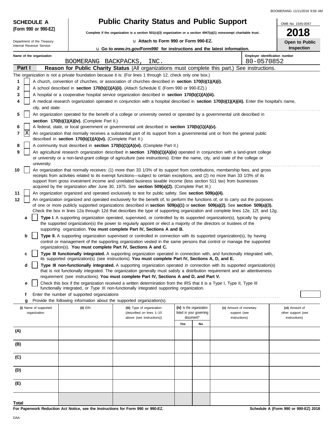| <b>SCHEDULE A</b>                     |                                                                                                                           | <b>Public Charity Status and Public Support</b>                                                                                                                                                                                                                         |                                                      |                                              |                                      |  |  |  |  |  |  |  |
|---------------------------------------|---------------------------------------------------------------------------------------------------------------------------|-------------------------------------------------------------------------------------------------------------------------------------------------------------------------------------------------------------------------------------------------------------------------|------------------------------------------------------|----------------------------------------------|--------------------------------------|--|--|--|--|--|--|--|
| (Form 990 or 990-EZ)                  |                                                                                                                           | Complete if the organization is a section 501(c)(3) organization or a section $4947(a)(1)$ nonexempt charitable trust.                                                                                                                                                  |                                                      | 18                                           |                                      |  |  |  |  |  |  |  |
| Department of the Treasury            |                                                                                                                           | u Attach to Form 990 or Form 990-EZ.                                                                                                                                                                                                                                    |                                                      |                                              | Open to Public                       |  |  |  |  |  |  |  |
| Internal Revenue Service              |                                                                                                                           | <b>u</b> Go to www.irs.gov/Form990 for instructions and the latest information.                                                                                                                                                                                         |                                                      |                                              | Inspection                           |  |  |  |  |  |  |  |
| Name of the organization              |                                                                                                                           | BOOMERANG BACKPACKS, INC.                                                                                                                                                                                                                                               |                                                      | Employer identification number<br>80-0570852 |                                      |  |  |  |  |  |  |  |
| Part I                                |                                                                                                                           | Reason for Public Charity Status (All organizations must complete this part.) See instructions.                                                                                                                                                                         |                                                      |                                              |                                      |  |  |  |  |  |  |  |
|                                       |                                                                                                                           | The organization is not a private foundation because it is: (For lines 1 through 12, check only one box.)                                                                                                                                                               |                                                      |                                              |                                      |  |  |  |  |  |  |  |
| 1                                     |                                                                                                                           | A church, convention of churches, or association of churches described in section 170(b)(1)(A)(i).                                                                                                                                                                      |                                                      |                                              |                                      |  |  |  |  |  |  |  |
| $\mathbf 2$                           |                                                                                                                           | A school described in section 170(b)(1)(A)(ii). (Attach Schedule E (Form 990 or 990-EZ).)                                                                                                                                                                               |                                                      |                                              |                                      |  |  |  |  |  |  |  |
| 3                                     |                                                                                                                           | A hospital or a cooperative hospital service organization described in section 170(b)(1)(A)(iii).                                                                                                                                                                       |                                                      |                                              |                                      |  |  |  |  |  |  |  |
| 4                                     |                                                                                                                           | A medical research organization operated in conjunction with a hospital described in section 170(b)(1)(A)(iii). Enter the hospital's name,                                                                                                                              |                                                      |                                              |                                      |  |  |  |  |  |  |  |
| city, and state:                      |                                                                                                                           |                                                                                                                                                                                                                                                                         |                                                      |                                              |                                      |  |  |  |  |  |  |  |
| 5                                     | An organization operated for the benefit of a college or university owned or operated by a governmental unit described in |                                                                                                                                                                                                                                                                         |                                                      |                                              |                                      |  |  |  |  |  |  |  |
|                                       | section 170(b)(1)(A)(iv). (Complete Part II.)                                                                             |                                                                                                                                                                                                                                                                         |                                                      |                                              |                                      |  |  |  |  |  |  |  |
| 6<br> x                               |                                                                                                                           | A federal, state, or local government or governmental unit described in section 170(b)(1)(A)(v).                                                                                                                                                                        |                                                      |                                              |                                      |  |  |  |  |  |  |  |
| 7                                     | described in section 170(b)(1)(A)(vi). (Complete Part II.)                                                                | An organization that normally receives a substantial part of its support from a governmental unit or from the general public                                                                                                                                            |                                                      |                                              |                                      |  |  |  |  |  |  |  |
| 8                                     |                                                                                                                           | A community trust described in section 170(b)(1)(A)(vi). (Complete Part II.)                                                                                                                                                                                            |                                                      |                                              |                                      |  |  |  |  |  |  |  |
| 9                                     |                                                                                                                           | An agricultural research organization described in section 170(b)(1)(A)(ix) operated in conjunction with a land-grant college<br>or university or a non-land-grant college of agriculture (see instructions). Enter the name, city, and state of the college or         |                                                      |                                              |                                      |  |  |  |  |  |  |  |
| university:<br>10                     |                                                                                                                           | An organization that normally receives: (1) more than 33 1/3% of its support from contributions, membership fees, and gross                                                                                                                                             |                                                      |                                              |                                      |  |  |  |  |  |  |  |
|                                       |                                                                                                                           | receipts from activities related to its exempt functions—subject to certain exceptions, and (2) no more than 33 1/3% of its                                                                                                                                             |                                                      |                                              |                                      |  |  |  |  |  |  |  |
|                                       |                                                                                                                           | support from gross investment income and unrelated business taxable income (less section 511 tax) from businesses                                                                                                                                                       |                                                      |                                              |                                      |  |  |  |  |  |  |  |
|                                       |                                                                                                                           | acquired by the organization after June 30, 1975. See section 509(a)(2). (Complete Part III.)                                                                                                                                                                           |                                                      |                                              |                                      |  |  |  |  |  |  |  |
| 11                                    |                                                                                                                           | An organization organized and operated exclusively to test for public safety. See section 509(a)(4).                                                                                                                                                                    |                                                      |                                              |                                      |  |  |  |  |  |  |  |
| 12                                    |                                                                                                                           | An organization organized and operated exclusively for the benefit of, to perform the functions of, or to carry out the purposes<br>of one or more publicly supported organizations described in section $509(a)(1)$ or section $509(a)(2)$ . See section $509(a)(3)$ . |                                                      |                                              |                                      |  |  |  |  |  |  |  |
|                                       |                                                                                                                           | Check the box in lines 12a through 12d that describes the type of supporting organization and complete lines 12e, 12f, and 12g.                                                                                                                                         |                                                      |                                              |                                      |  |  |  |  |  |  |  |
| a                                     |                                                                                                                           | Type I. A supporting organization operated, supervised, or controlled by its supported organization(s), typically by giving<br>the supported organization(s) the power to regularly appoint or elect a majority of the directors or trustees of the                     |                                                      |                                              |                                      |  |  |  |  |  |  |  |
|                                       |                                                                                                                           | supporting organization. You must complete Part IV, Sections A and B.                                                                                                                                                                                                   |                                                      |                                              |                                      |  |  |  |  |  |  |  |
| b                                     |                                                                                                                           | Type II. A supporting organization supervised or controlled in connection with its supported organization(s), by having                                                                                                                                                 |                                                      |                                              |                                      |  |  |  |  |  |  |  |
|                                       |                                                                                                                           | control or management of the supporting organization vested in the same persons that control or manage the supported<br>organization(s). You must complete Part IV, Sections A and C.                                                                                   |                                                      |                                              |                                      |  |  |  |  |  |  |  |
| c                                     |                                                                                                                           | Type III functionally integrated. A supporting organization operated in connection with, and functionally integrated with,                                                                                                                                              |                                                      |                                              |                                      |  |  |  |  |  |  |  |
|                                       |                                                                                                                           | its supported organization(s) (see instructions). You must complete Part IV, Sections A, D, and E.                                                                                                                                                                      |                                                      |                                              |                                      |  |  |  |  |  |  |  |
| d                                     |                                                                                                                           | Type III non-functionally integrated. A supporting organization operated in connection with its supported organization(s)                                                                                                                                               |                                                      |                                              |                                      |  |  |  |  |  |  |  |
|                                       |                                                                                                                           | that is not functionally integrated. The organization generally must satisfy a distribution requirement and an attentiveness                                                                                                                                            |                                                      |                                              |                                      |  |  |  |  |  |  |  |
|                                       |                                                                                                                           | requirement (see instructions). You must complete Part IV, Sections A and D, and Part V.                                                                                                                                                                                |                                                      |                                              |                                      |  |  |  |  |  |  |  |
| е                                     |                                                                                                                           | Check this box if the organization received a written determination from the IRS that it is a Type I, Type II, Type III<br>functionally integrated, or Type III non-functionally integrated supporting organization.                                                    |                                                      |                                              |                                      |  |  |  |  |  |  |  |
| f                                     | Enter the number of supported organizations                                                                               |                                                                                                                                                                                                                                                                         |                                                      |                                              |                                      |  |  |  |  |  |  |  |
| g                                     |                                                                                                                           | Provide the following information about the supported organization(s).                                                                                                                                                                                                  |                                                      |                                              |                                      |  |  |  |  |  |  |  |
| (i) Name of supported<br>organization | (ii) EIN                                                                                                                  | (iii) Type of organization<br>(described on lines 1-10                                                                                                                                                                                                                  | (iv) Is the organization<br>listed in your governing | (v) Amount of monetary<br>support (see       | (vi) Amount of<br>other support (see |  |  |  |  |  |  |  |
|                                       |                                                                                                                           | above (see instructions))                                                                                                                                                                                                                                               | document?<br>Yes<br>No                               | instructions)                                | instructions)                        |  |  |  |  |  |  |  |
| (A)                                   |                                                                                                                           |                                                                                                                                                                                                                                                                         |                                                      |                                              |                                      |  |  |  |  |  |  |  |
|                                       |                                                                                                                           |                                                                                                                                                                                                                                                                         |                                                      |                                              |                                      |  |  |  |  |  |  |  |
| (B)                                   |                                                                                                                           |                                                                                                                                                                                                                                                                         |                                                      |                                              |                                      |  |  |  |  |  |  |  |
| (C)                                   |                                                                                                                           |                                                                                                                                                                                                                                                                         |                                                      |                                              |                                      |  |  |  |  |  |  |  |
| (D)                                   |                                                                                                                           |                                                                                                                                                                                                                                                                         |                                                      |                                              |                                      |  |  |  |  |  |  |  |
| (E)                                   |                                                                                                                           |                                                                                                                                                                                                                                                                         |                                                      |                                              |                                      |  |  |  |  |  |  |  |
| Total                                 |                                                                                                                           |                                                                                                                                                                                                                                                                         |                                                      |                                              |                                      |  |  |  |  |  |  |  |

**For Paperwork Reduction Act Notice, see the Instructions for Form 990 or 990-EZ.**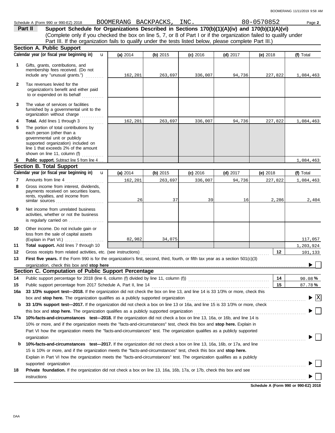# Schedule A (Form 990 or 990-EZ) 2018 Page **2** BOOMERANG BACKPACKS, INC. 80-0570852

(Complete only if you checked the box on line 5, 7, or 8 of Part I or if the organization failed to qualify under **Part II Support Schedule for Organizations Described in Sections 170(b)(1)(A)(iv) and 170(b)(1)(A)(vi)** Part III. If the organization fails to qualify under the tests listed below, please complete Part III.)

|              | <b>Section A. Public Support</b>                                                                                                                                                                                                                 |          |          |            |            |            |           |
|--------------|--------------------------------------------------------------------------------------------------------------------------------------------------------------------------------------------------------------------------------------------------|----------|----------|------------|------------|------------|-----------|
|              | Calendar year (or fiscal year beginning in)<br>$\mathbf{u}$                                                                                                                                                                                      | (a) 2014 | (b) 2015 | $(c)$ 2016 | $(d)$ 2017 | $(e)$ 2018 | (f) Total |
| 1            | Gifts, grants, contributions, and<br>membership fees received. (Do not<br>include any "unusual grants.")<br>.                                                                                                                                    | 162,201  | 263,697  | 336,007    | 94,736     | 227,822    | 1,084,463 |
| $\mathbf{2}$ | Tax revenues levied for the<br>organization's benefit and either paid<br>to or expended on its behalf<br>.                                                                                                                                       |          |          |            |            |            |           |
| 3            | The value of services or facilities<br>furnished by a governmental unit to the<br>organization without charge                                                                                                                                    |          |          |            |            |            |           |
| 4            | Total. Add lines 1 through 3<br>.                                                                                                                                                                                                                | 162,201  | 263,697  | 336,007    | 94,736     | 227,822    | 1,084,463 |
| 5            | The portion of total contributions by<br>each person (other than a<br>governmental unit or publicly<br>supported organization) included on<br>line 1 that exceeds 2% of the amount<br>shown on line 11, column (f)<br>.                          |          |          |            |            |            |           |
| 6            | Public support. Subtract line 5 from line 4                                                                                                                                                                                                      |          |          |            |            |            | 1,084,463 |
|              | <b>Section B. Total Support</b>                                                                                                                                                                                                                  |          |          |            |            |            |           |
|              | Calendar year (or fiscal year beginning in)<br>$\mathbf{u}$                                                                                                                                                                                      | (a) 2014 | (b) 2015 | $(c)$ 2016 | $(d)$ 2017 | (e) 2018   | (f) Total |
| 7            | Amounts from line 4<br>.                                                                                                                                                                                                                         | 162,201  | 263,697  | 336,007    | 94,736     | 227,822    | 1,084,463 |
| 8            | Gross income from interest, dividends,<br>payments received on securities loans,<br>rents, royalties, and income from<br>similar sources                                                                                                         | 26       | 37       | 39         | 16         | 2,286      | 2,404     |
| 9            | Net income from unrelated business<br>activities, whether or not the business<br>is regularly carried on                                                                                                                                         |          |          |            |            |            |           |
| 10           | Other income. Do not include gain or<br>loss from the sale of capital assets                                                                                                                                                                     | 82,982   | 34,075   |            |            |            | 117,057   |
| 11           | Total support. Add lines 7 through 10                                                                                                                                                                                                            |          |          |            |            |            | 1,203,924 |
| 12           |                                                                                                                                                                                                                                                  |          |          |            |            | 12         | 101,133   |
| 13           | First five years. If the Form 990 is for the organization's first, second, third, fourth, or fifth tax year as a section 501(c)(3)                                                                                                               |          |          |            |            |            |           |
|              | organization, check this box and stop here                                                                                                                                                                                                       |          |          |            |            |            |           |
|              | Section C. Computation of Public Support Percentage                                                                                                                                                                                              |          |          |            |            |            |           |
| 14           | Public support percentage for 2018 (line 6, column (f) divided by line 11, column (f)) [[[[[[[[[[[[[[[[[[[[[[                                                                                                                                    |          |          |            |            | 14         | 90.08%    |
| 15           | Public support percentage from 2017 Schedule A, Part II, line 14                                                                                                                                                                                 |          |          |            |            | 15         | 87.78%    |
| 16а          | 33 1/3% support test-2018. If the organization did not check the box on line 13, and line 14 is 33 1/3% or more, check this<br>box and stop here. The organization qualifies as a publicly supported organization                                |          |          |            |            |            | $\vert$ X |
| b            | 33 1/3% support test-2017. If the organization did not check a box on line 13 or 16a, and line 15 is 33 1/3% or more, check                                                                                                                      |          |          |            |            |            |           |
|              | this box and <b>stop here.</b> The organization qualifies as a publicly supported organization                                                                                                                                                   |          |          |            |            |            |           |
| 17a          | 10%-facts-and-circumstances test-2018. If the organization did not check a box on line 13, 16a, or 16b, and line 14 is                                                                                                                           |          |          |            |            |            |           |
|              | 10% or more, and if the organization meets the "facts-and-circumstances" test, check this box and stop here. Explain in                                                                                                                          |          |          |            |            |            |           |
|              | Part VI how the organization meets the "facts-and-circumstances" test. The organization qualifies as a publicly supported                                                                                                                        |          |          |            |            |            |           |
|              |                                                                                                                                                                                                                                                  |          |          |            |            |            |           |
|              | organization<br>10%-facts-and-circumstances test-2017. If the organization did not check a box on line 13, 16a, 16b, or 17a, and line                                                                                                            |          |          |            |            |            |           |
| b            |                                                                                                                                                                                                                                                  |          |          |            |            |            |           |
|              | 15 is 10% or more, and if the organization meets the "facts-and-circumstances" test, check this box and stop here.<br>Explain in Part VI how the organization meets the "facts-and-circumstances" test. The organization qualifies as a publicly |          |          |            |            |            |           |
|              |                                                                                                                                                                                                                                                  |          |          |            |            |            |           |
| 18           | supported organization<br>Private foundation. If the organization did not check a box on line 13, 16a, 16b, 17a, or 17b, check this box and see                                                                                                  |          |          |            |            |            |           |
|              |                                                                                                                                                                                                                                                  |          |          |            |            |            |           |
|              | instructions                                                                                                                                                                                                                                     |          |          |            |            |            |           |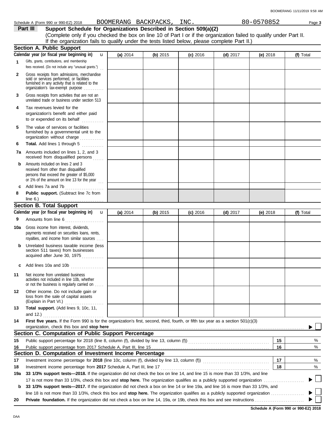| n 990 or 990-EZ'<br>$Z$ ) 2018<br>Schedule<br>(Form | <b>BOOMERANG</b> | $ATZ$ $\Gamma$ $\pi$<br>$\bigcap T \mathcal{F} \bigcap$<br>BACKPACKS | <b>INC</b> | ◠⊏<br>7096.<br>$\mathbf{U}$<br>2 ت | Page |
|-----------------------------------------------------|------------------|----------------------------------------------------------------------|------------|------------------------------------|------|
|                                                     |                  |                                                                      |            |                                    |      |

**Part III Support Schedule for Organizations Described in Section 509(a)(2)** (Complete only if you checked the box on line 10 of Part I or if the organization failed to qualify under Part II. If the organization fails to qualify under the tests listed below, please complete Part II.)

|              | <b>Section A. Public Support</b>                                                                                                                                                      |            |          |            |            |            |           |
|--------------|---------------------------------------------------------------------------------------------------------------------------------------------------------------------------------------|------------|----------|------------|------------|------------|-----------|
|              | Calendar year (or fiscal year beginning in)<br>u                                                                                                                                      | (a) $2014$ | (b) 2015 | $(c)$ 2016 | $(d)$ 2017 | (e) 2018   | (f) Total |
| $\mathbf{1}$ | Gifts, grants, contributions, and membership                                                                                                                                          |            |          |            |            |            |           |
|              | fees received. (Do not include any "unusual grants.")                                                                                                                                 |            |          |            |            |            |           |
| $\mathbf{2}$ | Gross receipts from admissions, merchandise                                                                                                                                           |            |          |            |            |            |           |
|              | sold or services performed, or facilities<br>furnished in any activity that is related to the                                                                                         |            |          |            |            |            |           |
|              | organization's tax-exempt purpose                                                                                                                                                     |            |          |            |            |            |           |
| 3            | Gross receipts from activities that are not an<br>unrelated trade or business under section 513                                                                                       |            |          |            |            |            |           |
| 4            | Tax revenues levied for the                                                                                                                                                           |            |          |            |            |            |           |
|              | organization's benefit and either paid<br>to or expended on its behalf                                                                                                                |            |          |            |            |            |           |
| 5            | The value of services or facilities<br>furnished by a governmental unit to the<br>organization without charge                                                                         |            |          |            |            |            |           |
| 6            | Total. Add lines 1 through 5<br>.                                                                                                                                                     |            |          |            |            |            |           |
| 7а           | Amounts included on lines 1, 2, and 3<br>received from disqualified persons                                                                                                           |            |          |            |            |            |           |
| b            | Amounts included on lines 2 and 3<br>received from other than disqualified<br>persons that exceed the greater of \$5,000<br>or 1% of the amount on line 13 for the year $\frac{1}{1}$ |            |          |            |            |            |           |
| C            | Add lines 7a and 7b                                                                                                                                                                   |            |          |            |            |            |           |
| 8            | Public support. (Subtract line 7c from                                                                                                                                                |            |          |            |            |            |           |
|              |                                                                                                                                                                                       |            |          |            |            |            |           |
|              | <b>Section B. Total Support</b>                                                                                                                                                       |            |          |            |            |            |           |
|              | Calendar year (or fiscal year beginning in)<br>$\mathbf{u}$                                                                                                                           | (a) $2014$ | (b) 2015 | $(c)$ 2016 | (d) $2017$ | $(e)$ 2018 | (f) Total |
| 9            | Amounts from line 6                                                                                                                                                                   |            |          |            |            |            |           |
| 10a          | Gross income from interest, dividends,<br>payments received on securities loans, rents,<br>royalties, and income from similar sources                                                 |            |          |            |            |            |           |
| b            | Unrelated business taxable income (less<br>section 511 taxes) from businesses<br>acquired after June 30, 1975                                                                         |            |          |            |            |            |           |
| C            | Add lines 10a and 10b                                                                                                                                                                 |            |          |            |            |            |           |
| 11           | Net income from unrelated business<br>activities not included in line 10b, whether<br>or not the business is regularly carried on                                                     |            |          |            |            |            |           |
| 12           | Other income. Do not include gain or<br>loss from the sale of capital assets<br>(Explain in Part VI.)<br>.                                                                            |            |          |            |            |            |           |
| 13           | Total support. (Add lines 9, 10c, 11,                                                                                                                                                 |            |          |            |            |            |           |
|              | and 12.) $\ldots$                                                                                                                                                                     |            |          |            |            |            |           |
| 14           | First five years. If the Form 990 is for the organization's first, second, third, fourth, or fifth tax year as a section 501(c)(3)                                                    |            |          |            |            |            |           |
|              | organization, check this box and stop here                                                                                                                                            |            |          |            |            |            |           |
|              | Section C. Computation of Public Support Percentage                                                                                                                                   |            |          |            |            |            |           |
| 15           | Public support percentage for 2018 (line 8, column (f), divided by line 13, column (f)) [[[[[[[[[[[[[[[[[[[[[                                                                         |            |          |            |            | 15         | %         |
| 16           |                                                                                                                                                                                       |            |          |            |            | 16         | %         |
|              | Section D. Computation of Investment Income Percentage                                                                                                                                |            |          |            |            |            |           |
| 17           |                                                                                                                                                                                       |            |          |            |            | 17         | %         |
| 18           | Investment income percentage from 2017 Schedule A, Part III, line 17                                                                                                                  |            |          |            |            | 18         | %         |
| 19a          | 33 1/3% support tests-2018. If the organization did not check the box on line 14, and line 15 is more than 33 1/3%, and line                                                          |            |          |            |            |            |           |
|              | 17 is not more than 33 1/3%, check this box and stop here. The organization qualifies as a publicly supported organization <i>commension</i> .                                        |            |          |            |            |            |           |
| b            | 33 1/3% support tests-2017. If the organization did not check a box on line 14 or line 19a, and line 16 is more than 33 1/3%, and                                                     |            |          |            |            |            |           |
|              |                                                                                                                                                                                       |            |          |            |            |            |           |
| 20           |                                                                                                                                                                                       |            |          |            |            |            |           |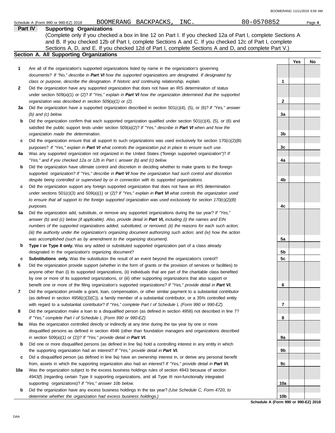|              | BOOMERANG BACKPACKS, INC.<br>Schedule A (Form 990 or 990-EZ) 2018                                                       | 80-0570852     |     | Page 4 |
|--------------|-------------------------------------------------------------------------------------------------------------------------|----------------|-----|--------|
|              | Part IV<br><b>Supporting Organizations</b>                                                                              |                |     |        |
|              | (Complete only if you checked a box in line 12 on Part I. If you checked 12a of Part I, complete Sections A             |                |     |        |
|              | and B. If you checked 12b of Part I, complete Sections A and C. If you checked 12c of Part I, complete                  |                |     |        |
|              | Sections A, D, and E. If you checked 12d of Part I, complete Sections A and D, and complete Part V.)                    |                |     |        |
|              | Section A. All Supporting Organizations                                                                                 |                |     |        |
|              |                                                                                                                         |                | Yes | No     |
| 1            | Are all of the organization's supported organizations listed by name in the organization's governing                    |                |     |        |
|              | documents? If "No," describe in Part VI how the supported organizations are designated. If designated by                |                |     |        |
|              | class or purpose, describe the designation. If historic and continuing relationship, explain.                           | $\mathbf 1$    |     |        |
| $\mathbf{2}$ | Did the organization have any supported organization that does not have an IRS determination of status                  |                |     |        |
|              | under section $509(a)(1)$ or (2)? If "Yes," explain in Part VI how the organization determined that the supported       |                |     |        |
|              | organization was described in section $509(a)(1)$ or (2).                                                               | 2              |     |        |
| За           | Did the organization have a supported organization described in section $501(c)(4)$ , (5), or (6)? If "Yes," answer     |                |     |        |
|              | $(b)$ and $(c)$ below.                                                                                                  | 3a             |     |        |
| b            | Did the organization confirm that each supported organization qualified under section $501(c)(4)$ , (5), or (6) and     |                |     |        |
|              | satisfied the public support tests under section 509(a)(2)? If "Yes," describe in Part VI when and how the              |                |     |        |
|              | organization made the determination.                                                                                    | 3b             |     |        |
| c            | Did the organization ensure that all support to such organizations was used exclusively for section $170(c)(2)(B)$      |                |     |        |
|              | purposes? If "Yes," explain in Part VI what controls the organization put in place to ensure such use.                  | 3c             |     |        |
| 4a           | Was any supported organization not organized in the United States ("foreign supported organization")? If                |                |     |        |
|              | "Yes," and if you checked 12a or 12b in Part I, answer (b) and (c) below.                                               | 4a             |     |        |
| b            | Did the organization have ultimate control and discretion in deciding whether to make grants to the foreign             |                |     |        |
|              | supported organization? If "Yes," describe in Part VI how the organization had such control and discretion              |                |     |        |
|              | despite being controlled or supervised by or in connection with its supported organizations.                            | 4b             |     |        |
| c            | Did the organization support any foreign supported organization that does not have an IRS determination                 |                |     |        |
|              | under sections $501(c)(3)$ and $509(a)(1)$ or (2)? If "Yes," explain in Part VI what controls the organization used     |                |     |        |
|              | to ensure that all support to the foreign supported organization was used exclusively for section $170(c)(2)(B)$        | 4c             |     |        |
| 5a           | purposes.<br>Did the organization add, substitute, or remove any supported organizations during the tax year? If "Yes," |                |     |        |
|              | answer (b) and (c) below (if applicable). Also, provide detail in Part VI, including (i) the names and EIN              |                |     |        |
|              | numbers of the supported organizations added, substituted, or removed; (ii) the reasons for each such action;           |                |     |        |
|              | (iii) the authority under the organization's organizing document authorizing such action; and (iv) how the action       |                |     |        |
|              | was accomplished (such as by amendment to the organizing document).                                                     | 5a             |     |        |
| b            | Type I or Type II only. Was any added or substituted supported organization part of a class already                     |                |     |        |
|              | designated in the organization's organizing document?                                                                   | 5b             |     |        |
| с            | Substitutions only. Was the substitution the result of an event beyond the organization's control?                      | 5 <sub>c</sub> |     |        |
| 6            | Did the organization provide support (whether in the form of grants or the provision of services or facilities) to      |                |     |        |
|              | anyone other than (i) its supported organizations, (ii) individuals that are part of the charitable class benefited     |                |     |        |
|              | by one or more of its supported organizations, or (iii) other supporting organizations that also support or             |                |     |        |
|              | benefit one or more of the filing organization's supported organizations? If "Yes," provide detail in Part VI.          | 6              |     |        |
| 7            | Did the organization provide a grant, loan, compensation, or other similar payment to a substantial contributor         |                |     |        |
|              | (as defined in section $4958(c)(3)(C)$ ), a family member of a substantial contributor, or a 35% controlled entity      |                |     |        |
|              | with regard to a substantial contributor? If "Yes," complete Part I of Schedule L (Form 990 or 990-EZ).                 | 7              |     |        |
| 8            | Did the organization make a loan to a disqualified person (as defined in section 4958) not described in line 7?         |                |     |        |
|              | If "Yes," complete Part I of Schedule L (Form 990 or 990-EZ).                                                           | 8              |     |        |
| 9а           | Was the organization controlled directly or indirectly at any time during the tax year by one or more                   |                |     |        |
|              | disqualified persons as defined in section 4946 (other than foundation managers and organizations described             |                |     |        |
|              | in section $509(a)(1)$ or $(2)$ ? If "Yes," provide detail in Part VI.                                                  | 9а             |     |        |
| b            | Did one or more disqualified persons (as defined in line 9a) hold a controlling interest in any entity in which         |                |     |        |
|              | the supporting organization had an interest? If "Yes," provide detail in Part VI.                                       | 9b             |     |        |
| c            | Did a disqualified person (as defined in line 9a) have an ownership interest in, or derive any personal benefit         |                |     |        |
|              | from, assets in which the supporting organization also had an interest? If "Yes," provide detail in Part VI.            | 9c             |     |        |
| 10a          | Was the organization subject to the excess business holdings rules of section 4943 because of section                   |                |     |        |
|              | 4943(f) (regarding certain Type II supporting organizations, and all Type III non-functionally integrated               |                |     |        |
|              | supporting organizations)? If "Yes," answer 10b below.                                                                  | 10a            |     |        |
| b            | Did the organization have any excess business holdings in the tax year? (Use Schedule C, Form 4720, to                  |                |     |        |
|              | determine whether the organization had excess business holdings.)                                                       | 10b            |     |        |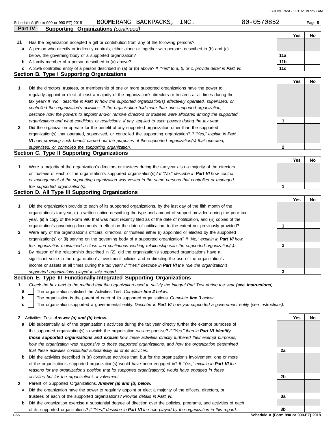|     | Part IV<br><b>Supporting Organizations (continued)</b>                                                                            |                 |     |    |
|-----|-----------------------------------------------------------------------------------------------------------------------------------|-----------------|-----|----|
|     |                                                                                                                                   |                 | Yes | No |
| 11  | Has the organization accepted a gift or contribution from any of the following persons?                                           |                 |     |    |
| a   | A person who directly or indirectly controls, either alone or together with persons described in (b) and (c)                      |                 |     |    |
|     | below, the governing body of a supported organization?                                                                            | 11a             |     |    |
| b   | A family member of a person described in (a) above?                                                                               | 11 <sub>b</sub> |     |    |
| c   | A 35% controlled entity of a person described in (a) or (b) above? If "Yes" to a, b, or c, provide detail in Part VI.             | 11c             |     |    |
|     | <b>Section B. Type I Supporting Organizations</b>                                                                                 |                 |     |    |
|     |                                                                                                                                   |                 |     |    |
|     |                                                                                                                                   |                 | Yes | No |
| 1   | Did the directors, trustees, or membership of one or more supported organizations have the power to                               |                 |     |    |
|     | regularly appoint or elect at least a majority of the organization's directors or trustees at all times during the                |                 |     |    |
|     | tax year? If "No," describe in Part VI how the supported organization(s) effectively operated, supervised, or                     |                 |     |    |
|     | controlled the organization's activities. If the organization had more than one supported organization,                           |                 |     |    |
|     | describe how the powers to appoint and/or remove directors or trustees were allocated among the supported                         |                 |     |    |
|     | organizations and what conditions or restrictions, if any, applied to such powers during the tax year.                            | 1               |     |    |
| 2   | Did the organization operate for the benefit of any supported organization other than the supported                               |                 |     |    |
|     | organization(s) that operated, supervised, or controlled the supporting organization? If "Yes," explain in Part                   |                 |     |    |
|     | VI how providing such benefit carried out the purposes of the supported organization(s) that operated,                            |                 |     |    |
|     | supervised, or controlled the supporting organization.                                                                            | 2               |     |    |
|     | Section C. Type II Supporting Organizations                                                                                       |                 |     |    |
|     |                                                                                                                                   |                 | Yes | No |
|     |                                                                                                                                   |                 |     |    |
| 1   | Were a majority of the organization's directors or trustees during the tax year also a majority of the directors                  |                 |     |    |
|     | or trustees of each of the organization's supported organization(s)? If "No," describe in Part VI how control                     |                 |     |    |
|     | or management of the supporting organization was vested in the same persons that controlled or managed                            |                 |     |    |
|     | the supported organization(s).                                                                                                    | 1               |     |    |
|     | Section D. All Type III Supporting Organizations                                                                                  |                 |     |    |
|     |                                                                                                                                   |                 | Yes | No |
| 1   | Did the organization provide to each of its supported organizations, by the last day of the fifth month of the                    |                 |     |    |
|     | organization's tax year, (i) a written notice describing the type and amount of support provided during the prior tax             |                 |     |    |
|     | year, (ii) a copy of the Form 990 that was most recently filed as of the date of notification, and (iii) copies of the            |                 |     |    |
|     | organization's governing documents in effect on the date of notification, to the extent not previously provided?                  | 1               |     |    |
| 2   | Were any of the organization's officers, directors, or trustees either (i) appointed or elected by the supported                  |                 |     |    |
|     | organization(s) or (ii) serving on the governing body of a supported organization? If "No," explain in Part VI how                |                 |     |    |
|     | the organization maintained a close and continuous working relationship with the supported organization(s).                       | $\mathbf{2}$    |     |    |
| 3   | By reason of the relationship described in (2), did the organization's supported organizations have a                             |                 |     |    |
|     | significant voice in the organization's investment policies and in directing the use of the organization's                        |                 |     |    |
|     | income or assets at all times during the tax year? If "Yes," describe in Part VI the role the organization's                      |                 |     |    |
|     |                                                                                                                                   | 3               |     |    |
|     | supported organizations played in this regard.<br>Section E. Type III Functionally-Integrated Supporting Organizations            |                 |     |    |
|     |                                                                                                                                   |                 |     |    |
| 1   | Check the box next to the method that the organization used to satisfy the Integral Part Test during the year (see instructions). |                 |     |    |
| a   | The organization satisfied the Activities Test. Complete line 2 below.                                                            |                 |     |    |
| b   | The organization is the parent of each of its supported organizations. Complete line 3 below.                                     |                 |     |    |
| C   | The organization supported a governmental entity. Describe in Part VI how you supported a government entity (see instructions).   |                 |     |    |
|     |                                                                                                                                   |                 |     |    |
| 2   | Activities Test. Answer (a) and (b) below.                                                                                        |                 | Yes | No |
| а   | Did substantially all of the organization's activities during the tax year directly further the exempt purposes of                |                 |     |    |
|     | the supported organization(s) to which the organization was responsive? If "Yes," then in Part VI identify                        |                 |     |    |
|     | those supported organizations and explain how these activities directly furthered their exempt purposes,                          |                 |     |    |
|     | how the organization was responsive to those supported organizations, and how the organization determined                         |                 |     |    |
|     | that these activities constituted substantially all of its activities.                                                            | 2a              |     |    |
| b   | Did the activities described in (a) constitute activities that, but for the organization's involvement, one or more               |                 |     |    |
|     |                                                                                                                                   |                 |     |    |
|     | of the organization's supported organization(s) would have been engaged in? If "Yes," explain in Part VI the                      |                 |     |    |
|     | reasons for the organization's position that its supported organization(s) would have engaged in these                            |                 |     |    |
|     | activities but for the organization's involvement.                                                                                | 2b              |     |    |
| 3   | Parent of Supported Organizations. Answer (a) and (b) below.                                                                      |                 |     |    |
| а   | Did the organization have the power to regularly appoint or elect a majority of the officers, directors, or                       |                 |     |    |
|     | trustees of each of the supported organizations? Provide details in Part VI.                                                      | За              |     |    |
| b   | Did the organization exercise a substantial degree of direction over the policies, programs, and activities of each               |                 |     |    |
|     | of its supported organizations? If "Yes," describe in Part VI the role played by the organization in this regard.                 | 3b              |     |    |
| DAA | Schedule A (Form 990 or 990-EZ) 2018                                                                                              |                 |     |    |

Schedule A (Form 990 or 990-EZ) 2018 Page **5**

BOOMERANG BACKPACKS, INC. 80-0570852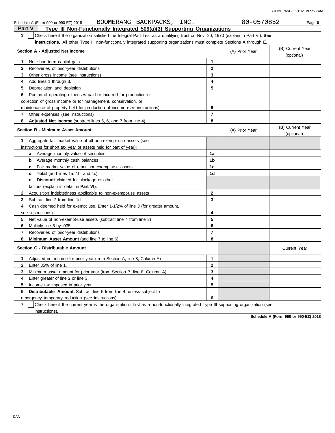|               | BOOMERANG BACKPACKS,<br>INC.<br>Schedule A (Form 990 or 990-EZ) 2018                                                             |                         | 80-0570852     | Page 6                         |
|---------------|----------------------------------------------------------------------------------------------------------------------------------|-------------------------|----------------|--------------------------------|
| <b>Part V</b> | Type III Non-Functionally Integrated 509(a)(3) Supporting Organizations                                                          |                         |                |                                |
| 1             | Check here if the organization satisfied the Integral Part Test as a qualifying trust on Nov. 20, 1970 (explain in Part VI). See |                         |                |                                |
|               | <b>instructions.</b> All other Type III non-functionally integrated supporting organizations must complete Sections A through E. |                         |                |                                |
|               | Section A - Adjusted Net Income                                                                                                  |                         | (A) Prior Year | (B) Current Year               |
|               |                                                                                                                                  |                         |                | (optional)                     |
| 1             | Net short-term capital gain                                                                                                      | 1                       |                |                                |
| 2             | Recoveries of prior-year distributions                                                                                           | $\mathbf 2$             |                |                                |
| 3             | Other gross income (see instructions)                                                                                            | 3                       |                |                                |
| 4             | Add lines 1 through 3.                                                                                                           | 4                       |                |                                |
| 5             | Depreciation and depletion                                                                                                       | 5                       |                |                                |
| 6             | Portion of operating expenses paid or incurred for production or                                                                 |                         |                |                                |
|               | collection of gross income or for management, conservation, or                                                                   |                         |                |                                |
|               | maintenance of property held for production of income (see instructions)                                                         | 6                       |                |                                |
| 7             | Other expenses (see instructions)                                                                                                | 7                       |                |                                |
| 8             | <b>Adjusted Net Income</b> (subtract lines 5, 6, and 7 from line 4)                                                              | 8                       |                |                                |
|               | <b>Section B - Minimum Asset Amount</b>                                                                                          |                         | (A) Prior Year | (B) Current Year<br>(optional) |
| 1             | Aggregate fair market value of all non-exempt-use assets (see                                                                    |                         |                |                                |
|               | instructions for short tax year or assets held for part of year):                                                                |                         |                |                                |
|               | Average monthly value of securities<br>a                                                                                         | 1a                      |                |                                |
|               | Average monthly cash balances<br>b                                                                                               | 1b                      |                |                                |
|               | Fair market value of other non-exempt-use assets<br>$\mathbf{c}$                                                                 | 1 <sub>c</sub>          |                |                                |
|               | Total (add lines 1a, 1b, and 1c)<br>d                                                                                            | 1d                      |                |                                |
|               | <b>Discount</b> claimed for blockage or other<br>e                                                                               |                         |                |                                |
|               | factors (explain in detail in Part VI):                                                                                          |                         |                |                                |
| $\mathbf{2}$  | Acquisition indebtedness applicable to non-exempt-use assets                                                                     | $\mathbf{2}$            |                |                                |
| 3             | Subtract line 2 from line 1d.                                                                                                    | 3                       |                |                                |
| 4             | Cash deemed held for exempt use. Enter 1-1/2% of line 3 (for greater amount,                                                     |                         |                |                                |
|               | see instructions).                                                                                                               | 4                       |                |                                |
| 5             | Net value of non-exempt-use assets (subtract line 4 from line 3)                                                                 | 5                       |                |                                |
| 6             | Multiply line 5 by .035.                                                                                                         | 6                       |                |                                |
| 7             | Recoveries of prior-year distributions                                                                                           | $\overline{\mathbf{r}}$ |                |                                |
| 8             | Minimum Asset Amount (add line 7 to line 6)                                                                                      | 8                       |                |                                |
|               | Section C - Distributable Amount                                                                                                 |                         |                | <b>Current Year</b>            |
| 1             | Adjusted net income for prior year (from Section A, line 8, Column A)                                                            | 1                       |                |                                |
| $\mathbf{2}$  | Enter 85% of line 1.                                                                                                             | $\mathbf{2}$            |                |                                |
| 3             | Minimum asset amount for prior year (from Section B, line 8, Column A)                                                           | 3                       |                |                                |
| 4             | Enter greater of line 2 or line 3.                                                                                               | 4                       |                |                                |
| 5             | Income tax imposed in prior year                                                                                                 | 5                       |                |                                |
| 6             | <b>Distributable Amount.</b> Subtract line 5 from line 4, unless subject to                                                      |                         |                |                                |
|               | emergency temporary reduction (see instructions).                                                                                | 6                       |                |                                |

**7** instructions). Check here if the current year is the organization's first as a non-functionally integrated Type III supporting organization (see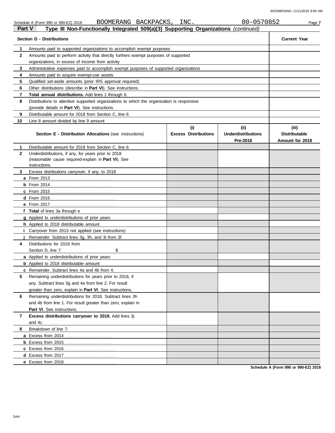| Part V<br>Type III Non-Functionally Integrated 509(a)(3) Supporting Organizations (continued) |                                                                                            |                                    |                                               |                                                  |  |  |  |  |
|-----------------------------------------------------------------------------------------------|--------------------------------------------------------------------------------------------|------------------------------------|-----------------------------------------------|--------------------------------------------------|--|--|--|--|
| <b>Section D - Distributions</b>                                                              | <b>Current Year</b>                                                                        |                                    |                                               |                                                  |  |  |  |  |
| 1                                                                                             | Amounts paid to supported organizations to accomplish exempt purposes                      |                                    |                                               |                                                  |  |  |  |  |
| $\mathbf{2}$                                                                                  | Amounts paid to perform activity that directly furthers exempt purposes of supported       |                                    |                                               |                                                  |  |  |  |  |
|                                                                                               | organizations, in excess of income from activity                                           |                                    |                                               |                                                  |  |  |  |  |
| 3                                                                                             | Administrative expenses paid to accomplish exempt purposes of supported organizations      |                                    |                                               |                                                  |  |  |  |  |
| 4                                                                                             | Amounts paid to acquire exempt-use assets                                                  |                                    |                                               |                                                  |  |  |  |  |
| 5                                                                                             | Qualified set-aside amounts (prior IRS approval required)                                  |                                    |                                               |                                                  |  |  |  |  |
| 6                                                                                             | Other distributions (describe in Part VI). See instructions.                               |                                    |                                               |                                                  |  |  |  |  |
| 7                                                                                             | Total annual distributions. Add lines 1 through 6.                                         |                                    |                                               |                                                  |  |  |  |  |
| 8                                                                                             | Distributions to attentive supported organizations to which the organization is responsive |                                    |                                               |                                                  |  |  |  |  |
|                                                                                               | (provide details in Part VI). See instructions.                                            |                                    |                                               |                                                  |  |  |  |  |
| 9                                                                                             | Distributable amount for 2018 from Section C, line 6                                       |                                    |                                               |                                                  |  |  |  |  |
| 10                                                                                            | Line 8 amount divided by line 9 amount                                                     |                                    |                                               |                                                  |  |  |  |  |
|                                                                                               | <b>Section E - Distribution Allocations (see instructions)</b>                             | (i)<br><b>Excess Distributions</b> | (ii)<br><b>Underdistributions</b><br>Pre-2018 | (iii)<br><b>Distributable</b><br>Amount for 2018 |  |  |  |  |
| 1                                                                                             | Distributable amount for 2018 from Section C, line 6                                       |                                    |                                               |                                                  |  |  |  |  |
| $\mathbf{2}$                                                                                  | Underdistributions, if any, for years prior to 2018                                        |                                    |                                               |                                                  |  |  |  |  |
|                                                                                               | (reasonable cause required-explain in Part VI). See                                        |                                    |                                               |                                                  |  |  |  |  |
|                                                                                               | instructions.                                                                              |                                    |                                               |                                                  |  |  |  |  |
| 3                                                                                             | Excess distributions carryover, if any, to 2018                                            |                                    |                                               |                                                  |  |  |  |  |
|                                                                                               |                                                                                            |                                    |                                               |                                                  |  |  |  |  |
|                                                                                               |                                                                                            |                                    |                                               |                                                  |  |  |  |  |
|                                                                                               |                                                                                            |                                    |                                               |                                                  |  |  |  |  |
|                                                                                               |                                                                                            |                                    |                                               |                                                  |  |  |  |  |
|                                                                                               | f Total of lines 3a through e                                                              |                                    |                                               |                                                  |  |  |  |  |
|                                                                                               | g Applied to underdistributions of prior years                                             |                                    |                                               |                                                  |  |  |  |  |
|                                                                                               | h Applied to 2018 distributable amount                                                     |                                    |                                               |                                                  |  |  |  |  |
|                                                                                               | <i>i</i> Carryover from 2013 not applied (see instructions)                                |                                    |                                               |                                                  |  |  |  |  |
|                                                                                               | Remainder. Subtract lines 3g, 3h, and 3i from 3f.                                          |                                    |                                               |                                                  |  |  |  |  |
| 4                                                                                             | Distributions for 2018 from                                                                |                                    |                                               |                                                  |  |  |  |  |
|                                                                                               | \$<br>Section D, line 7:                                                                   |                                    |                                               |                                                  |  |  |  |  |
|                                                                                               | a Applied to underdistributions of prior years                                             |                                    |                                               |                                                  |  |  |  |  |
|                                                                                               | <b>b</b> Applied to 2018 distributable amount                                              |                                    |                                               |                                                  |  |  |  |  |
|                                                                                               | <b>c</b> Remainder. Subtract lines 4a and 4b from 4.                                       |                                    |                                               |                                                  |  |  |  |  |
| 5                                                                                             | Remaining underdistributions for years prior to 2018, if                                   |                                    |                                               |                                                  |  |  |  |  |
|                                                                                               | any. Subtract lines 3g and 4a from line 2. For result                                      |                                    |                                               |                                                  |  |  |  |  |
|                                                                                               | greater than zero, explain in Part VI. See instructions.                                   |                                    |                                               |                                                  |  |  |  |  |
| 6                                                                                             | Remaining underdistributions for 2018. Subtract lines 3h                                   |                                    |                                               |                                                  |  |  |  |  |
|                                                                                               | and 4b from line 1. For result greater than zero, explain in                               |                                    |                                               |                                                  |  |  |  |  |
|                                                                                               | Part VI. See instructions.                                                                 |                                    |                                               |                                                  |  |  |  |  |
| 7                                                                                             | Excess distributions carryover to 2019. Add lines 3j                                       |                                    |                                               |                                                  |  |  |  |  |
|                                                                                               | and 4c.                                                                                    |                                    |                                               |                                                  |  |  |  |  |
| 8                                                                                             | Breakdown of line 7:                                                                       |                                    |                                               |                                                  |  |  |  |  |
|                                                                                               |                                                                                            |                                    |                                               |                                                  |  |  |  |  |
|                                                                                               | <b>b</b> Excess from 2015                                                                  |                                    |                                               |                                                  |  |  |  |  |
|                                                                                               |                                                                                            |                                    |                                               |                                                  |  |  |  |  |
|                                                                                               |                                                                                            |                                    |                                               |                                                  |  |  |  |  |
|                                                                                               |                                                                                            |                                    |                                               |                                                  |  |  |  |  |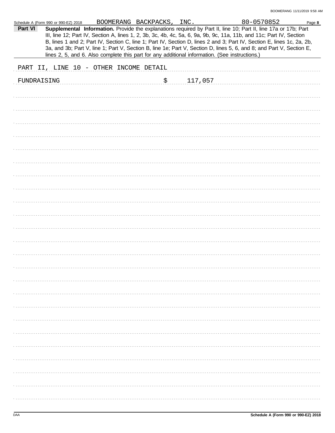| Part VI     | Schedule A (Form 990 or 990-EZ) 2018                                                           |  | BOOMERANG BACKPACKS, INC. |            |         | 80-0570852<br>Supplemental Information. Provide the explanations required by Part II, line 10; Part II, line 17a or 17b; Part                                                                                                                                                                                                                                          | Page 8 |
|-------------|------------------------------------------------------------------------------------------------|--|---------------------------|------------|---------|------------------------------------------------------------------------------------------------------------------------------------------------------------------------------------------------------------------------------------------------------------------------------------------------------------------------------------------------------------------------|--------|
|             | lines 2, 5, and 6. Also complete this part for any additional information. (See instructions.) |  |                           |            |         | III, line 12; Part IV, Section A, lines 1, 2, 3b, 3c, 4b, 4c, 5a, 6, 9a, 9b, 9c, 11a, 11b, and 11c; Part IV, Section<br>B, lines 1 and 2; Part IV, Section C, line 1; Part IV, Section D, lines 2 and 3; Part IV, Section E, lines 1c, 2a, 2b,<br>3a, and 3b; Part V, line 1; Part V, Section B, line 1e; Part V, Section D, lines 5, 6, and 8; and Part V, Section E, |        |
|             | PART II, LINE 10 - OTHER INCOME DETAIL                                                         |  |                           |            |         |                                                                                                                                                                                                                                                                                                                                                                        |        |
| FUNDRAISING |                                                                                                |  |                           | $\uparrow$ | 117,057 |                                                                                                                                                                                                                                                                                                                                                                        |        |
|             |                                                                                                |  |                           |            |         |                                                                                                                                                                                                                                                                                                                                                                        |        |
|             |                                                                                                |  |                           |            |         |                                                                                                                                                                                                                                                                                                                                                                        |        |
|             |                                                                                                |  |                           |            |         |                                                                                                                                                                                                                                                                                                                                                                        |        |
|             |                                                                                                |  |                           |            |         |                                                                                                                                                                                                                                                                                                                                                                        |        |
|             |                                                                                                |  |                           |            |         |                                                                                                                                                                                                                                                                                                                                                                        |        |
|             |                                                                                                |  |                           |            |         |                                                                                                                                                                                                                                                                                                                                                                        |        |
|             |                                                                                                |  |                           |            |         |                                                                                                                                                                                                                                                                                                                                                                        |        |
|             |                                                                                                |  |                           |            |         |                                                                                                                                                                                                                                                                                                                                                                        |        |
|             |                                                                                                |  |                           |            |         |                                                                                                                                                                                                                                                                                                                                                                        |        |
|             |                                                                                                |  |                           |            |         |                                                                                                                                                                                                                                                                                                                                                                        |        |
|             |                                                                                                |  |                           |            |         |                                                                                                                                                                                                                                                                                                                                                                        |        |
|             |                                                                                                |  |                           |            |         |                                                                                                                                                                                                                                                                                                                                                                        |        |
|             |                                                                                                |  |                           |            |         |                                                                                                                                                                                                                                                                                                                                                                        |        |
|             |                                                                                                |  |                           |            |         |                                                                                                                                                                                                                                                                                                                                                                        |        |
|             |                                                                                                |  |                           |            |         |                                                                                                                                                                                                                                                                                                                                                                        |        |
|             |                                                                                                |  |                           |            |         |                                                                                                                                                                                                                                                                                                                                                                        |        |
|             |                                                                                                |  |                           |            |         |                                                                                                                                                                                                                                                                                                                                                                        |        |
|             |                                                                                                |  |                           |            |         |                                                                                                                                                                                                                                                                                                                                                                        |        |
|             |                                                                                                |  |                           |            |         |                                                                                                                                                                                                                                                                                                                                                                        |        |
|             |                                                                                                |  |                           |            |         |                                                                                                                                                                                                                                                                                                                                                                        |        |
|             |                                                                                                |  |                           |            |         |                                                                                                                                                                                                                                                                                                                                                                        |        |
|             |                                                                                                |  |                           |            |         |                                                                                                                                                                                                                                                                                                                                                                        |        |
|             |                                                                                                |  |                           |            |         |                                                                                                                                                                                                                                                                                                                                                                        |        |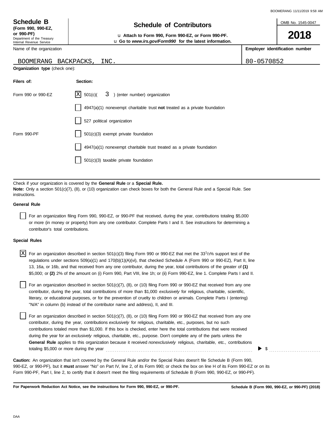OMB No. 1545-0047

**2018**

| <b>Schedule B</b>                                      |
|--------------------------------------------------------|
| (Form 990, 990-EZ,                                     |
| or 990-PF)                                             |
| Department of the Treasury<br>Internal Revenue Service |

### Name of the organization

# BOOMERANG BACKPACKS, INC. 80-0570852

**Organization type** (check one):

**Filers of: Section:**

| <b>Schedule of Contributors</b> |  |  |  |
|---------------------------------|--|--|--|
|---------------------------------|--|--|--|

**or 990-PF)** u **Attach to Form 990, Form 990-EZ, or Form 990-PF.** u **Go to** *www.irs.gov/Form990* **for the latest information.**

**Employer identification number**

| Form 990 or 990-EZ                       | ΙXΙ<br>501(c)<br>3) (enter number) organization                                                                                                                                                                                                                                                                                                                                                                                                                                                                                                                                                                                            |
|------------------------------------------|--------------------------------------------------------------------------------------------------------------------------------------------------------------------------------------------------------------------------------------------------------------------------------------------------------------------------------------------------------------------------------------------------------------------------------------------------------------------------------------------------------------------------------------------------------------------------------------------------------------------------------------------|
|                                          | $4947(a)(1)$ nonexempt charitable trust <b>not</b> treated as a private foundation                                                                                                                                                                                                                                                                                                                                                                                                                                                                                                                                                         |
|                                          | 527 political organization                                                                                                                                                                                                                                                                                                                                                                                                                                                                                                                                                                                                                 |
| Form 990-PF                              | 501(c)(3) exempt private foundation                                                                                                                                                                                                                                                                                                                                                                                                                                                                                                                                                                                                        |
|                                          | 4947(a)(1) nonexempt charitable trust treated as a private foundation                                                                                                                                                                                                                                                                                                                                                                                                                                                                                                                                                                      |
|                                          | 501(c)(3) taxable private foundation                                                                                                                                                                                                                                                                                                                                                                                                                                                                                                                                                                                                       |
|                                          |                                                                                                                                                                                                                                                                                                                                                                                                                                                                                                                                                                                                                                            |
| instructions.                            | Check if your organization is covered by the General Rule or a Special Rule.<br><b>Note:</b> Only a section 501(c)(7), (8), or (10) organization can check boxes for both the General Rule and a Special Rule. See                                                                                                                                                                                                                                                                                                                                                                                                                         |
| <b>General Rule</b>                      |                                                                                                                                                                                                                                                                                                                                                                                                                                                                                                                                                                                                                                            |
| contributor's total contributions.       | For an organization filing Form 990, 990-EZ, or 990-PF that received, during the year, contributions totaling \$5,000<br>or more (in money or property) from any one contributor. Complete Parts I and II. See instructions for determining a                                                                                                                                                                                                                                                                                                                                                                                              |
| <b>Special Rules</b>                     |                                                                                                                                                                                                                                                                                                                                                                                                                                                                                                                                                                                                                                            |
| X                                        | For an organization described in section 501(c)(3) filing Form 990 or 990-EZ that met the 33 <sup>1</sup> /3% support test of the<br>regulations under sections 509(a)(1) and 170(b)(1)(A)(vi), that checked Schedule A (Form 990 or 990-EZ), Part II, line<br>13, 16a, or 16b, and that received from any one contributor, during the year, total contributions of the greater of (1)<br>\$5,000; or (2) 2% of the amount on (i) Form 990, Part VIII, line 1h; or (ii) Form 990-EZ, line 1. Complete Parts I and II.                                                                                                                      |
|                                          | For an organization described in section $501(c)(7)$ , (8), or (10) filing Form 990 or 990-EZ that received from any one<br>contributor, during the year, total contributions of more than \$1,000 exclusively for religious, charitable, scientific,<br>literary, or educational purposes, or for the prevention of cruelty to children or animals. Complete Parts I (entering)<br>"N/A" in column (b) instead of the contributor name and address), II, and III.                                                                                                                                                                         |
| totaling \$5,000 or more during the year | For an organization described in section $501(c)(7)$ , (8), or (10) filing Form 990 or 990-EZ that received from any one<br>contributor, during the year, contributions exclusively for religious, charitable, etc., purposes, but no such<br>contributions totaled more than \$1,000. If this box is checked, enter here the total contributions that were received<br>during the year for an exclusively religious, charitable, etc., purpose. Don't complete any of the parts unless the<br><b>General Rule</b> applies to this organization because it received <i>nonexclusively</i> religious, charitable, etc., contributions<br>\$ |
|                                          | <b>Caution:</b> An organization that isn't covered by the General Rule and/or the Special Rules doesn't file Schedule B (Form 990,<br>990-EZ, or 990-PF), but it <b>must</b> answer "No" on Part IV, line 2, of its Form 990; or check the box on line H of its Form 990-EZ or on its<br>Form 990-PF, Part I, line 2, to certify that it doesn't meet the filing requirements of Schedule B (Form 990, 990-EZ, or 990-PF).                                                                                                                                                                                                                 |

**For Paperwork Reduction Act Notice, see the instructions for Form 990, 990-EZ, or 990-PF.**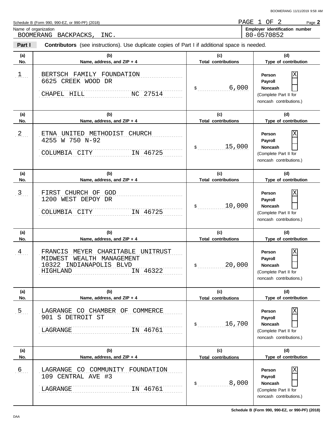Schedule B (Form 990, 990-EZ, or 990-PF) (2018)

Name of organization **Employer identification number Employer identification number** 

BOOMERANG BACKPACKS, INC.

Page **2** PAGE 1 OF 2

**Contributors** (see instructions). Use duplicate copies of Part I if additional space is needed. 80-0570852

| Part I                  | <b>Contributors</b> (see instructions). Use duplicate copies of Part I if additional space is needed.                   |                                                       |                                                                                                                      |  |  |  |
|-------------------------|-------------------------------------------------------------------------------------------------------------------------|-------------------------------------------------------|----------------------------------------------------------------------------------------------------------------------|--|--|--|
| (a)<br>No.              | (b)<br>Name, address, and ZIP + 4                                                                                       | (c)<br><b>Total contributions</b>                     | (d)<br>Type of contribution                                                                                          |  |  |  |
| $1$                     | BERTSCH FAMILY FOUNDATION<br>6625 CREEK WOOD DR<br>NC 27514<br>CHAPEL HILL                                              | 6,000<br>$\mathsf{\$}$                                | ΙX<br>Person<br>Payroll<br><b>Noncash</b><br>(Complete Part II for<br>noncash contributions.)                        |  |  |  |
| (a)<br>No.              | (b)<br>Name, address, and ZIP + 4                                                                                       | (c)<br><b>Total contributions</b>                     | (d)<br>Type of contribution                                                                                          |  |  |  |
| $2$                     | ETNA UNITED METHODIST CHURCH<br>4255 W 750 N-92<br>COLUMBIA CITY<br>IN 46725                                            | 15,000<br>$\mathsf{\$}$                               | X<br>Person<br>Payroll<br><b>Noncash</b><br>(Complete Part II for<br>noncash contributions.)                         |  |  |  |
| (a)                     | (b)                                                                                                                     | (c)                                                   | (d)                                                                                                                  |  |  |  |
| No.<br>$3$              | Name, address, and ZIP + 4<br>FIRST CHURCH OF GOD<br>1200 WEST DEPOY DR<br>COLUMBIA CITY<br>IN 46725                    | <b>Total contributions</b><br>10,000<br>$\mathsf{\$}$ | Type of contribution<br>X<br>Person<br>Payroll<br><b>Noncash</b><br>(Complete Part II for<br>noncash contributions.) |  |  |  |
| (a)<br>No.              | (b)<br>Name, address, and ZIP + 4                                                                                       | (c)<br><b>Total contributions</b>                     | (d)<br>Type of contribution                                                                                          |  |  |  |
| $4$                     | FRANCIS<br>MEYER CHARITABLE UNITRUST<br>MIDWEST<br>WEALTH MANAGEMENT<br>10322 INDIANAPOLIS BLVD<br>HIGHLAND<br>IN 46322 | 20,000<br>$\mathsf{\$}$                               | Х<br>Person<br>Payroll<br><b>Noncash</b><br>(Complete Part II for<br>noncash contributions.)                         |  |  |  |
| (a)                     | (b)                                                                                                                     | (c)                                                   | (d)<br>Type of contribution                                                                                          |  |  |  |
| No.<br>$\overline{5}$ . | Name, address, and ZIP + 4<br>LAGRANGE CO CHAMBER OF<br>COMMERCE<br>901 S DETROIT ST<br>IN 46761<br>LAGRANGE            | <b>Total contributions</b><br>16,700<br>$\sim$        | Person<br>Payroll<br>Noncash<br>(Complete Part II for<br>noncash contributions.)                                     |  |  |  |
| (a)<br>No.              | (b)<br>Name, address, and ZIP + 4                                                                                       | (c)<br><b>Total contributions</b>                     | (d)<br>Type of contribution                                                                                          |  |  |  |
| 6 <sub>1</sub>          |                                                                                                                         |                                                       | Х<br>Person                                                                                                          |  |  |  |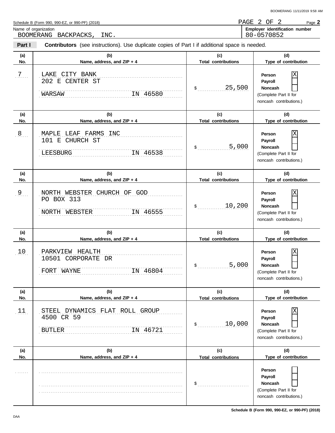Schedule B (Form 990, 990-EZ, or 990-PF) (2018)

BOOMERANG BACKPACKS, INC.

Name of organization **Employer identification number Employer identification number** Page **2** PAGE 2 OF 2

**Contributors** (see instructions). Use duplicate copies of Part I if additional space is needed. 80-0570852

| Part I                 | <b>Contributors</b> (see instructions). Use duplicate copies of Part I if additional space is needed.   |                                                      |                                                                                                                 |  |  |  |  |
|------------------------|---------------------------------------------------------------------------------------------------------|------------------------------------------------------|-----------------------------------------------------------------------------------------------------------------|--|--|--|--|
| (a)<br>No.             | (b)<br>Name, address, and ZIP + 4                                                                       | (c)<br><b>Total contributions</b>                    | (d)<br>Type of contribution                                                                                     |  |  |  |  |
| $\overline{7}$         | CITY BANK<br>LAKE<br>202 E CENTER ST<br><b>WARSAW</b><br>IN 46580                                       | 25,500<br>$\frac{1}{2}$                              | Person<br>Payroll<br><b>Noncash</b><br>(Complete Part II for<br>noncash contributions.)                         |  |  |  |  |
| (a)<br>No.             | (b)<br>Name, address, and ZIP + 4                                                                       | (c)<br><b>Total contributions</b>                    | (d)<br>Type of contribution                                                                                     |  |  |  |  |
| 8 <sub>1</sub>         | MAPLE LEAF FARMS INC<br>101 E CHURCH ST<br>LEESBURG<br>IN 46538                                         | 5,000<br>\$                                          | Person<br>Payroll<br><b>Noncash</b><br>(Complete Part II for<br>noncash contributions.)                         |  |  |  |  |
| (a)<br>No.             | (b)<br>Name, address, and ZIP + 4                                                                       | (c)<br><b>Total contributions</b>                    | (d)<br>Type of contribution                                                                                     |  |  |  |  |
| 9.                     | NORTH WEBSTER CHURCH OF GOD<br>PO BOX 313<br>NORTH WEBSTER<br>IN 46555                                  | 10,200<br>$\frac{1}{2}$                              | Person<br>Payroll<br><b>Noncash</b><br>(Complete Part II for<br>noncash contributions.)                         |  |  |  |  |
| (a)                    | (b)<br>Name, address, and ZIP + 4                                                                       | (c)                                                  | (d)<br>Type of contribution                                                                                     |  |  |  |  |
| No.<br>10 <sub>1</sub> | PARKVIEW HEALTH<br>10501 CORPORATE DR<br>FORT WAYNE<br>IN 46804                                         | <b>Total contributions</b><br>5,000<br>$\frac{1}{2}$ | Person<br>Payroll<br><b>Noncash</b><br>(Complete Part II for<br>noncash contributions.)                         |  |  |  |  |
| (a)                    | (b)                                                                                                     | (c)                                                  | (d)                                                                                                             |  |  |  |  |
| No.<br>11 <sub>1</sub> | Name, address, and ZIP + 4<br>STEEL DYNAMICS FLAT ROLL GROUP<br>4500 CR 59<br>IN 46721<br><b>BUTLER</b> | <b>Total contributions</b><br>10,000<br>\$           | Type of contribution<br>Person<br>Payroll<br><b>Noncash</b><br>(Complete Part II for<br>noncash contributions.) |  |  |  |  |
| (a)<br>No.             | (b)<br>Name, address, and ZIP + 4                                                                       | (c)<br><b>Total contributions</b>                    | (d)<br>Type of contribution                                                                                     |  |  |  |  |
|                        |                                                                                                         | \$                                                   | Person<br>Payroll<br><b>Noncash</b><br>(Complete Part II for<br>noncash contributions.)                         |  |  |  |  |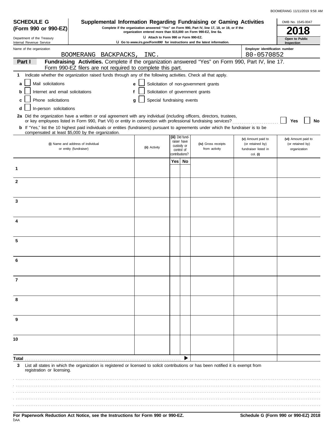| BOOMERANG 11/11/2019 9:58 AM |  |  |
|------------------------------|--|--|
|                              |  |  |

| <b>SCHEDULE G</b>                                                                                                                                                                   | Supplemental Information Regarding Fundraising or Gaming Activities                                                                                                                                                                      |   |                                   |                |                 |                                                                                                                                                                     |                                  | OMB No. 1545-0047   |
|-------------------------------------------------------------------------------------------------------------------------------------------------------------------------------------|------------------------------------------------------------------------------------------------------------------------------------------------------------------------------------------------------------------------------------------|---|-----------------------------------|----------------|-----------------|---------------------------------------------------------------------------------------------------------------------------------------------------------------------|----------------------------------|---------------------|
| (Form 990 or 990-EZ)                                                                                                                                                                |                                                                                                                                                                                                                                          |   |                                   |                |                 | Complete if the organization answered "Yes" on Form 990, Part IV, line 17, 18, or 19, or if the<br>organization entered more than \$15,000 on Form 990-EZ, line 6a. |                                  | 18                  |
| LI Attach to Form 990 or Form 990-EZ.<br>Department of the Treasury<br><b>U.</b> Go to www.irs.gov/Form990 for instructions and the latest information.<br>Internal Revenue Service |                                                                                                                                                                                                                                          |   |                                   |                |                 |                                                                                                                                                                     |                                  | Open to Public      |
| Name of the organization<br>BOOMERANG BACKPACKS, INC.                                                                                                                               |                                                                                                                                                                                                                                          |   |                                   |                |                 | Employer identification number<br>80-0570852                                                                                                                        | Inspection                       |                     |
| Part I                                                                                                                                                                              | Fundraising Activities. Complete if the organization answered "Yes" on Form 990, Part IV, line 17.                                                                                                                                       |   |                                   |                |                 |                                                                                                                                                                     |                                  |                     |
|                                                                                                                                                                                     | Form 990-EZ filers are not required to complete this part.                                                                                                                                                                               |   |                                   |                |                 |                                                                                                                                                                     |                                  |                     |
| 1.                                                                                                                                                                                  | Indicate whether the organization raised funds through any of the following activities. Check all that apply.                                                                                                                            |   |                                   |                |                 |                                                                                                                                                                     |                                  |                     |
| Mail solicitations<br>a                                                                                                                                                             |                                                                                                                                                                                                                                          | е |                                   |                |                 | Solicitation of non-government grants                                                                                                                               |                                  |                     |
| Internet and email solicitations<br>b                                                                                                                                               |                                                                                                                                                                                                                                          | f | Solicitation of government grants |                |                 |                                                                                                                                                                     |                                  |                     |
| Phone solicitations<br>c                                                                                                                                                            |                                                                                                                                                                                                                                          | a | Special fundraising events        |                |                 |                                                                                                                                                                     |                                  |                     |
| In-person solicitations<br>d                                                                                                                                                        |                                                                                                                                                                                                                                          |   |                                   |                |                 |                                                                                                                                                                     |                                  |                     |
|                                                                                                                                                                                     | 2a Did the organization have a written or oral agreement with any individual (including officers, directors, trustees,<br>or key employees listed in Form 990, Part VII) or entity in connection with professional fundraising services? |   |                                   |                |                 |                                                                                                                                                                     |                                  | No<br>Yes           |
|                                                                                                                                                                                     | b If "Yes," list the 10 highest paid individuals or entities (fundraisers) pursuant to agreements under which the fundraiser is to be<br>compensated at least \$5,000 by the organization.                                               |   |                                   |                |                 |                                                                                                                                                                     |                                  |                     |
|                                                                                                                                                                                     |                                                                                                                                                                                                                                          |   |                                   |                | (iii) Did fund- |                                                                                                                                                                     | (v) Amount paid to               | (vi) Amount paid to |
|                                                                                                                                                                                     | (i) Name and address of individual                                                                                                                                                                                                       |   | (ii) Activity                     | custody or     | raiser have     | (iv) Gross receipts                                                                                                                                                 | (or retained by)                 | (or retained by)    |
|                                                                                                                                                                                     | or entity (fundraiser)                                                                                                                                                                                                                   |   |                                   | contributions? | control of      | from activity                                                                                                                                                       | fundraiser listed in<br>col. (i) | organization        |
|                                                                                                                                                                                     |                                                                                                                                                                                                                                          |   |                                   | Yes   No       |                 |                                                                                                                                                                     |                                  |                     |
| 1                                                                                                                                                                                   |                                                                                                                                                                                                                                          |   |                                   |                |                 |                                                                                                                                                                     |                                  |                     |
| $\mathbf{2}$                                                                                                                                                                        |                                                                                                                                                                                                                                          |   |                                   |                |                 |                                                                                                                                                                     |                                  |                     |
|                                                                                                                                                                                     |                                                                                                                                                                                                                                          |   |                                   |                |                 |                                                                                                                                                                     |                                  |                     |
| 3                                                                                                                                                                                   |                                                                                                                                                                                                                                          |   |                                   |                |                 |                                                                                                                                                                     |                                  |                     |
|                                                                                                                                                                                     |                                                                                                                                                                                                                                          |   |                                   |                |                 |                                                                                                                                                                     |                                  |                     |
| 4                                                                                                                                                                                   |                                                                                                                                                                                                                                          |   |                                   |                |                 |                                                                                                                                                                     |                                  |                     |
|                                                                                                                                                                                     |                                                                                                                                                                                                                                          |   |                                   |                |                 |                                                                                                                                                                     |                                  |                     |
| 5                                                                                                                                                                                   |                                                                                                                                                                                                                                          |   |                                   |                |                 |                                                                                                                                                                     |                                  |                     |
|                                                                                                                                                                                     |                                                                                                                                                                                                                                          |   |                                   |                |                 |                                                                                                                                                                     |                                  |                     |
|                                                                                                                                                                                     |                                                                                                                                                                                                                                          |   |                                   |                |                 |                                                                                                                                                                     |                                  |                     |
| 7                                                                                                                                                                                   |                                                                                                                                                                                                                                          |   |                                   |                |                 |                                                                                                                                                                     |                                  |                     |
|                                                                                                                                                                                     |                                                                                                                                                                                                                                          |   |                                   |                |                 |                                                                                                                                                                     |                                  |                     |
| 8                                                                                                                                                                                   |                                                                                                                                                                                                                                          |   |                                   |                |                 |                                                                                                                                                                     |                                  |                     |
| 9                                                                                                                                                                                   |                                                                                                                                                                                                                                          |   |                                   |                |                 |                                                                                                                                                                     |                                  |                     |
|                                                                                                                                                                                     |                                                                                                                                                                                                                                          |   |                                   |                |                 |                                                                                                                                                                     |                                  |                     |
| 10                                                                                                                                                                                  |                                                                                                                                                                                                                                          |   |                                   |                |                 |                                                                                                                                                                     |                                  |                     |
|                                                                                                                                                                                     |                                                                                                                                                                                                                                          |   |                                   |                |                 |                                                                                                                                                                     |                                  |                     |
| Total<br>3                                                                                                                                                                          | List all states in which the organization is registered or licensed to solicit contributions or has been notified it is exempt from                                                                                                      |   |                                   |                |                 |                                                                                                                                                                     |                                  |                     |
| registration or licensing.                                                                                                                                                          |                                                                                                                                                                                                                                          |   |                                   |                |                 |                                                                                                                                                                     |                                  |                     |
|                                                                                                                                                                                     |                                                                                                                                                                                                                                          |   |                                   |                |                 |                                                                                                                                                                     |                                  |                     |
|                                                                                                                                                                                     |                                                                                                                                                                                                                                          |   |                                   |                |                 |                                                                                                                                                                     |                                  |                     |
|                                                                                                                                                                                     |                                                                                                                                                                                                                                          |   |                                   |                |                 |                                                                                                                                                                     |                                  |                     |
|                                                                                                                                                                                     |                                                                                                                                                                                                                                          |   |                                   |                |                 |                                                                                                                                                                     |                                  |                     |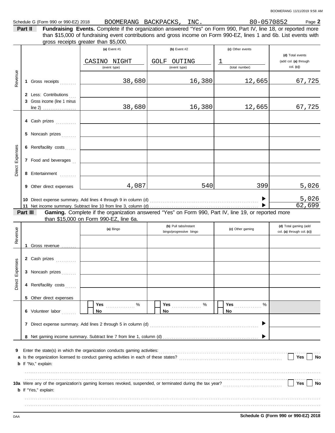| Schedule<br>1990 or 990-EZ)<br>2018<br>G (Form | <b>BOOMERANG</b> | <b>BACKPACKS</b> | INC. | いに<br>7085<br>00JZ | Page |
|------------------------------------------------|------------------|------------------|------|--------------------|------|
|                                                |                  |                  |      |                    |      |

**Part II Fundraising Events.** Complete if the organization answered "Yes" on Form 990, Part IV, line 18, or reported more gross receipts greater than \$5,000. than \$15,000 of fundraising event contributions and gross income on Form 990-EZ, lines 1 and 6b. List events with

|                        |          |                              | (a) Event #1                                                             | (b) Event $#2$                                                                                      | (c) Other events |                            |
|------------------------|----------|------------------------------|--------------------------------------------------------------------------|-----------------------------------------------------------------------------------------------------|------------------|----------------------------|
|                        |          |                              |                                                                          |                                                                                                     |                  | (d) Total events           |
|                        |          |                              | CASINO NIGHT                                                             | GOLF OUTING                                                                                         | 1                | (add col. (a) through      |
|                        |          |                              | (event type)                                                             | (event type)                                                                                        | (total number)   | $col.$ (c))                |
| Revenue                |          | 1 Gross receipts             | 38,680                                                                   | 16,380                                                                                              | 12,665           | 67,725                     |
|                        |          | 2 Less: Contributions        |                                                                          |                                                                                                     |                  |                            |
|                        |          | 3 Gross income (line 1 minus |                                                                          |                                                                                                     |                  |                            |
|                        |          |                              | 38,680                                                                   | 16,380                                                                                              | 12,665           | 67,725                     |
|                        |          |                              |                                                                          |                                                                                                     |                  |                            |
|                        |          | 4 Cash prizes                |                                                                          |                                                                                                     |                  |                            |
|                        |          |                              |                                                                          |                                                                                                     |                  |                            |
|                        |          | 5 Noncash prizes             |                                                                          |                                                                                                     |                  |                            |
|                        |          |                              |                                                                          |                                                                                                     |                  |                            |
|                        |          | 6 Rent/facility costs        |                                                                          |                                                                                                     |                  |                            |
| Expenses               |          |                              |                                                                          |                                                                                                     |                  |                            |
|                        |          | 7 Food and beverages         |                                                                          |                                                                                                     |                  |                            |
| Direct                 |          |                              |                                                                          |                                                                                                     |                  |                            |
|                        |          | 8 Entertainment              |                                                                          |                                                                                                     |                  |                            |
|                        |          | 9 Other direct expenses      | 4,087                                                                    | 540                                                                                                 | 399              | 5,026                      |
|                        |          |                              |                                                                          |                                                                                                     |                  |                            |
|                        |          |                              | 10 Direct expense summary. Add lines 4 through 9 in column (d)           |                                                                                                     |                  |                            |
|                        |          |                              |                                                                          |                                                                                                     |                  | $\frac{5,026}{62,699}$     |
|                        | Part III |                              |                                                                          | Gaming. Complete if the organization answered "Yes" on Form 990, Part IV, line 19, or reported more |                  |                            |
|                        |          |                              | than \$15,000 on Form 990-EZ, line 6a.                                   |                                                                                                     |                  |                            |
|                        |          |                              | (a) Bingo                                                                | (b) Pull tabs/instant                                                                               | (c) Other gaming | (d) Total gaming (add      |
| Revenue                |          |                              |                                                                          | bingo/progressive bingo                                                                             |                  | col. (a) through col. (c)) |
|                        |          |                              |                                                                          |                                                                                                     |                  |                            |
|                        |          | 1 Gross revenue              |                                                                          |                                                                                                     |                  |                            |
|                        |          |                              |                                                                          |                                                                                                     |                  |                            |
|                        |          | 2 Cash prizes                |                                                                          |                                                                                                     |                  |                            |
|                        |          | 3 Noncash prizes             |                                                                          |                                                                                                     |                  |                            |
|                        |          |                              |                                                                          |                                                                                                     |                  |                            |
| <b>Direct Expenses</b> |          | 4 Rent/facility costs        |                                                                          |                                                                                                     |                  |                            |
|                        |          |                              |                                                                          |                                                                                                     |                  |                            |
|                        |          | 5 Other direct expenses      |                                                                          |                                                                                                     |                  |                            |
|                        |          |                              | %<br>Yes<br>.                                                            | Yes<br>%                                                                                            | Yes<br>%         |                            |
|                        |          | 6 Volunteer labor            | No                                                                       | No                                                                                                  | No               |                            |
|                        |          |                              |                                                                          |                                                                                                     |                  |                            |
|                        |          |                              |                                                                          |                                                                                                     |                  |                            |
|                        |          |                              |                                                                          |                                                                                                     |                  |                            |
|                        |          |                              |                                                                          |                                                                                                     |                  |                            |
| 9                      |          |                              | Enter the state(s) in which the organization conducts gaming activities: |                                                                                                     |                  |                            |
| a                      |          |                              |                                                                          |                                                                                                     |                  | Yes<br>No                  |
|                        |          | <b>b</b> If "No," explain:   |                                                                          |                                                                                                     |                  |                            |
|                        |          |                              |                                                                          |                                                                                                     |                  |                            |
|                        |          |                              |                                                                          |                                                                                                     |                  |                            |
|                        |          |                              |                                                                          |                                                                                                     |                  | Yes<br>No                  |
|                        |          | <b>b</b> If "Yes," explain:  |                                                                          |                                                                                                     |                  |                            |
|                        |          |                              |                                                                          |                                                                                                     |                  |                            |
|                        |          |                              |                                                                          |                                                                                                     |                  |                            |
|                        |          |                              |                                                                          |                                                                                                     |                  |                            |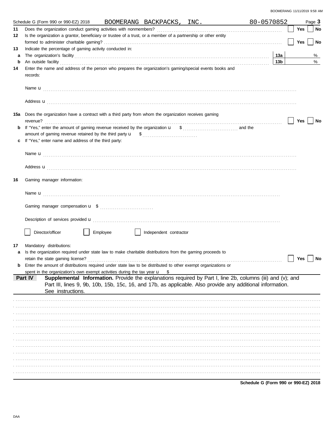|     | Schedule G (Form 990 or 990-EZ) 2018<br>BOOMERANG BACKPACKS, INC.                                                                                                                                                                                        | 80-0570852      |     | Page 3     |
|-----|----------------------------------------------------------------------------------------------------------------------------------------------------------------------------------------------------------------------------------------------------------|-----------------|-----|------------|
| 11  |                                                                                                                                                                                                                                                          |                 | Yes | <b>No</b>  |
| 12  | Is the organization a grantor, beneficiary or trustee of a trust, or a member of a partnership or other entity                                                                                                                                           |                 |     |            |
|     |                                                                                                                                                                                                                                                          |                 |     | Yes   No   |
| 13  | Indicate the percentage of gaming activity conducted in:                                                                                                                                                                                                 |                 |     |            |
| a   |                                                                                                                                                                                                                                                          | 13а             |     | %          |
| b   | An outside facility <b>contained a set of the contract of the contract of the contract of the contract of the contract of the contract of the contract of the contract of the contract of the contract of the contract of the co</b>                     | 13 <sub>b</sub> |     | $\%$       |
| 14  | Enter the name and address of the person who prepares the organization's gaming/special events books and<br>records:                                                                                                                                     |                 |     |            |
|     |                                                                                                                                                                                                                                                          |                 |     |            |
|     | Address <b>u</b>                                                                                                                                                                                                                                         |                 |     |            |
| 15a | Does the organization have a contract with a third party from whom the organization receives gaming                                                                                                                                                      |                 |     | Yes     No |
| b   |                                                                                                                                                                                                                                                          |                 |     |            |
|     |                                                                                                                                                                                                                                                          |                 |     |            |
| c   | If "Yes," enter name and address of the third party:                                                                                                                                                                                                     |                 |     |            |
|     |                                                                                                                                                                                                                                                          |                 |     |            |
|     |                                                                                                                                                                                                                                                          |                 |     |            |
|     |                                                                                                                                                                                                                                                          |                 |     |            |
|     | Address <b>u</b>                                                                                                                                                                                                                                         |                 |     |            |
| 16  | Gaming manager information:                                                                                                                                                                                                                              |                 |     |            |
|     |                                                                                                                                                                                                                                                          |                 |     |            |
|     |                                                                                                                                                                                                                                                          |                 |     |            |
|     | Description of services provided <b>u</b> electron control and a service of the service of services provided <b>u</b>                                                                                                                                    |                 |     |            |
|     | Director/officer<br>Employee<br>    Independent contractor                                                                                                                                                                                               |                 |     |            |
| 17  | Mandatory distributions:                                                                                                                                                                                                                                 |                 |     |            |
| a   | Is the organization required under state law to make charitable distributions from the gaming proceeds to                                                                                                                                                |                 |     |            |
|     |                                                                                                                                                                                                                                                          |                 |     | Yes No     |
| b   | Enter the amount of distributions required under state law to be distributed to other exempt organizations or                                                                                                                                            |                 |     |            |
|     | spent in the organization's own exempt activities during the tax year $\mathbf u$                                                                                                                                                                        |                 |     |            |
|     | Supplemental Information. Provide the explanations required by Part I, line 2b, columns (iii) and (v); and<br>Part IV<br>Part III, lines 9, 9b, 10b, 15b, 15c, 16, and 17b, as applicable. Also provide any additional information.<br>See instructions. |                 |     |            |
|     |                                                                                                                                                                                                                                                          |                 |     |            |
|     |                                                                                                                                                                                                                                                          |                 |     |            |
|     |                                                                                                                                                                                                                                                          |                 |     |            |
|     |                                                                                                                                                                                                                                                          |                 |     |            |
|     |                                                                                                                                                                                                                                                          |                 |     |            |
|     |                                                                                                                                                                                                                                                          |                 |     |            |
|     |                                                                                                                                                                                                                                                          |                 |     |            |
|     |                                                                                                                                                                                                                                                          |                 |     |            |
|     |                                                                                                                                                                                                                                                          |                 |     |            |
|     |                                                                                                                                                                                                                                                          |                 |     |            |
|     |                                                                                                                                                                                                                                                          |                 |     |            |
|     |                                                                                                                                                                                                                                                          |                 |     |            |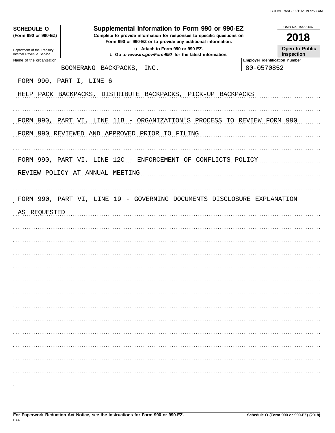| <b>SCHEDULE O</b><br>(Form 990 or 990-EZ)<br>Department of the Treasury<br>Internal Revenue Service | Supplemental Information to Form 990 or 990-EZ<br>Complete to provide information for responses to specific questions on<br>Form 990 or 990-EZ or to provide any additional information.<br>u Attach to Form 990 or 990-EZ.<br>u Go to www.irs.gov/Form990 for the latest information. |                                |            |
|-----------------------------------------------------------------------------------------------------|----------------------------------------------------------------------------------------------------------------------------------------------------------------------------------------------------------------------------------------------------------------------------------------|--------------------------------|------------|
| Name of the organization                                                                            |                                                                                                                                                                                                                                                                                        | Employer identification number | Inspection |
|                                                                                                     | BOOMERANG BACKPACKS,<br>INC.                                                                                                                                                                                                                                                           | 80-0570852                     |            |
|                                                                                                     | FORM 990, PART I, LINE 6                                                                                                                                                                                                                                                               |                                |            |
|                                                                                                     | HELP PACK BACKPACKS, DISTRIBUTE BACKPACKS, PICK-UP BACKPACKS                                                                                                                                                                                                                           |                                |            |
|                                                                                                     | FORM 990, PART VI, LINE 11B - ORGANIZATION'S PROCESS TO REVIEW FORM 990<br>FORM 990 REVIEWED AND APPROVED PRIOR TO FILING                                                                                                                                                              |                                |            |
|                                                                                                     | FORM 990, PART VI, LINE 12C - ENFORCEMENT OF CONFLICTS POLICY                                                                                                                                                                                                                          |                                |            |
|                                                                                                     | REVIEW POLICY AT ANNUAL MEETING                                                                                                                                                                                                                                                        |                                |            |
| AS REQUESTED                                                                                        | FORM 990, PART VI, LINE 19 - GOVERNING DOCUMENTS DISCLOSURE EXPLANATION                                                                                                                                                                                                                |                                |            |
|                                                                                                     |                                                                                                                                                                                                                                                                                        |                                |            |
|                                                                                                     |                                                                                                                                                                                                                                                                                        |                                |            |
|                                                                                                     |                                                                                                                                                                                                                                                                                        |                                |            |
|                                                                                                     |                                                                                                                                                                                                                                                                                        |                                |            |
|                                                                                                     |                                                                                                                                                                                                                                                                                        |                                |            |
|                                                                                                     |                                                                                                                                                                                                                                                                                        |                                |            |
|                                                                                                     |                                                                                                                                                                                                                                                                                        |                                |            |
|                                                                                                     |                                                                                                                                                                                                                                                                                        |                                |            |
|                                                                                                     |                                                                                                                                                                                                                                                                                        |                                |            |
|                                                                                                     |                                                                                                                                                                                                                                                                                        |                                |            |
|                                                                                                     |                                                                                                                                                                                                                                                                                        |                                |            |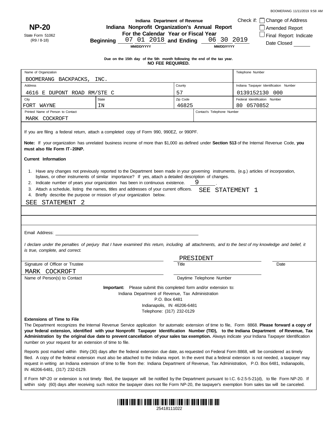**NP-20** State Form 51062

(R9 / 8-18)

**Indiana Department of Revenue Indiana Nonprofit Organization's Annual Report**

**For the Calendar Year or Fiscal Year**

Check if: □ Change of Address Amended Report

> $\Box$  Final Report: Indicate Date Closed

**MM/DD/YYYY**

**Beginning** 07 01 2018 and Ending 06 30 2019

**MM/DD/YYYY**

**Due on the 15th day of the 5th month following the end of the tax year.**

|                  |  | -- |
|------------------|--|----|
| NO FEE REQUIRED. |  |    |
|                  |  |    |

| Name of Organization                                                                                                                                                                                                                                                                                                                                                                                                                                                                                                                            |                                                                                                                                                                                                                                                                                                                                                               |          |                            | Telephone Number                                                                                                                                        |  |
|-------------------------------------------------------------------------------------------------------------------------------------------------------------------------------------------------------------------------------------------------------------------------------------------------------------------------------------------------------------------------------------------------------------------------------------------------------------------------------------------------------------------------------------------------|---------------------------------------------------------------------------------------------------------------------------------------------------------------------------------------------------------------------------------------------------------------------------------------------------------------------------------------------------------------|----------|----------------------------|---------------------------------------------------------------------------------------------------------------------------------------------------------|--|
| BOOMERANG BACKPACKS,                                                                                                                                                                                                                                                                                                                                                                                                                                                                                                                            | INC.                                                                                                                                                                                                                                                                                                                                                          |          |                            |                                                                                                                                                         |  |
| Address                                                                                                                                                                                                                                                                                                                                                                                                                                                                                                                                         |                                                                                                                                                                                                                                                                                                                                                               | County   |                            | Indiana Taxpayer Identification Number                                                                                                                  |  |
| 4616 E DUPONT ROAD RM/STE C                                                                                                                                                                                                                                                                                                                                                                                                                                                                                                                     |                                                                                                                                                                                                                                                                                                                                                               | 57       |                            | 0139152130<br>000                                                                                                                                       |  |
| City                                                                                                                                                                                                                                                                                                                                                                                                                                                                                                                                            | <b>State</b>                                                                                                                                                                                                                                                                                                                                                  | Zip Code |                            | Federal Identification Number                                                                                                                           |  |
| FORT WAYNE                                                                                                                                                                                                                                                                                                                                                                                                                                                                                                                                      | ΙN                                                                                                                                                                                                                                                                                                                                                            | 46825    |                            | 80 0570852                                                                                                                                              |  |
| Printed Name of Person to Contact                                                                                                                                                                                                                                                                                                                                                                                                                                                                                                               |                                                                                                                                                                                                                                                                                                                                                               |          | Contact's Telephone Number |                                                                                                                                                         |  |
| MARK COCKROFT                                                                                                                                                                                                                                                                                                                                                                                                                                                                                                                                   |                                                                                                                                                                                                                                                                                                                                                               |          |                            |                                                                                                                                                         |  |
| must also file Form IT-20NP.                                                                                                                                                                                                                                                                                                                                                                                                                                                                                                                    | If you are filing a federal return, attach a completed copy of Form 990, 990EZ, or 990PF.<br>Note: If your organization has unrelated business income of more than \$1,000 as defined under Section 513 of the Internal Revenue Code, you                                                                                                                     |          |                            |                                                                                                                                                         |  |
| <b>Current Information</b>                                                                                                                                                                                                                                                                                                                                                                                                                                                                                                                      |                                                                                                                                                                                                                                                                                                                                                               |          |                            |                                                                                                                                                         |  |
| STATEMENT<br>SEE<br>Email Address:                                                                                                                                                                                                                                                                                                                                                                                                                                                                                                              | bylaws, or other instruments of similar importance? If yes, attach a detailed description of changes.<br>2. Indicate number of years your organization has been in continuous existence.<br>3. Attach a schedule, listing the names, titles and addresses of your current officers.<br>4. Briefly describe the purpose or mission of your organization below. |          | SEE STATEMENT 1            |                                                                                                                                                         |  |
| is true, complete, and correct.                                                                                                                                                                                                                                                                                                                                                                                                                                                                                                                 | I declare under the penalties of perjury that I have examined this return, including all attachments, and to the best of my knowledge and belief, it                                                                                                                                                                                                          |          |                            |                                                                                                                                                         |  |
|                                                                                                                                                                                                                                                                                                                                                                                                                                                                                                                                                 |                                                                                                                                                                                                                                                                                                                                                               |          | PRESIDENT                  |                                                                                                                                                         |  |
| Signature of Officer or Trustee                                                                                                                                                                                                                                                                                                                                                                                                                                                                                                                 |                                                                                                                                                                                                                                                                                                                                                               | Title    |                            | Date                                                                                                                                                    |  |
| MARK COCKROFT                                                                                                                                                                                                                                                                                                                                                                                                                                                                                                                                   |                                                                                                                                                                                                                                                                                                                                                               |          |                            |                                                                                                                                                         |  |
| Name of Person(s) to Contact                                                                                                                                                                                                                                                                                                                                                                                                                                                                                                                    |                                                                                                                                                                                                                                                                                                                                                               |          | Daytime Telephone Number   |                                                                                                                                                         |  |
| <b>Important:</b> Please submit this completed form and/or extension to:<br>Indiana Department of Revenue, Tax Administration<br>P.O. Box 6481<br>Indianapolis, IN 46206-6481<br>Telephone: (317) 232-0129                                                                                                                                                                                                                                                                                                                                      |                                                                                                                                                                                                                                                                                                                                                               |          |                            |                                                                                                                                                         |  |
| <b>Extensions of Time to File</b><br>The Department recognizes the Internal Revenue Service application for automatic extension of time to file, Form 8868. Please forward a copy of<br>your federal extension, identified with your Nonprofit Taxpayer Identification Number (TID), to the Indiana Department of Revenue, Tax<br>Administration by the original due date to prevent cancellation of your sales tax exemption. Always indicate your Indiana Taxpayer Identification<br>number on your request for an extension of time to file. |                                                                                                                                                                                                                                                                                                                                                               |          |                            |                                                                                                                                                         |  |
| IN 46206-6481, (317) 232-0129.                                                                                                                                                                                                                                                                                                                                                                                                                                                                                                                  | Reports post marked within thirty (30) days after the federal extension due date, as requested on Federal Form 8868, will be considered as timely<br>request in writing an Indiana extension of time to file from the: Indiana Department of Revenue, Tax Administration, P.O. Box 6481, Indianapolis,                                                        |          |                            | filed. A copy of the federal extension must also be attached to the Indiana report. In the event that a federal extension is not needed, a taxpayer may |  |
|                                                                                                                                                                                                                                                                                                                                                                                                                                                                                                                                                 | within sixty (60) days after receiving such notice the taxpayer does not file Form NP-20, the taxpayer's exemption from sales tax will be canceled.                                                                                                                                                                                                           |          |                            | If Form NP-20 or extension is not timely filed, the taxpayer will be notified by the Department pursuant to I.C. 6-2.5-5-21(d), to file Form NP-20. If  |  |